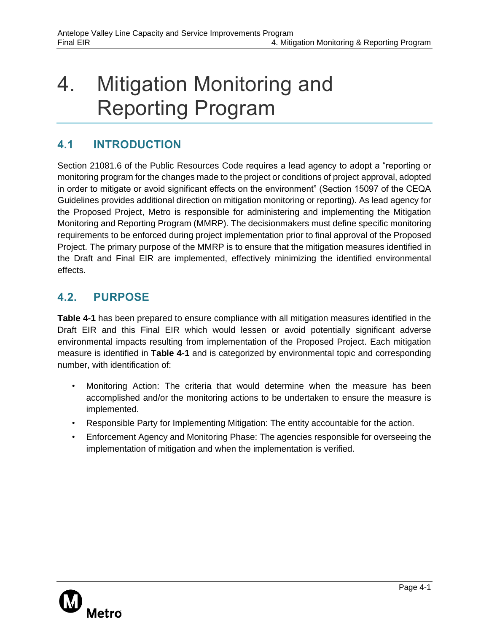## 4. Mitigation Monitoring and Reporting Program

## **4.1 INTRODUCTION**

Section 21081.6 of the Public Resources Code requires a lead agency to adopt a "reporting or monitoring program for the changes made to the project or conditions of project approval, adopted in order to mitigate or avoid significant effects on the environment" (Section 15097 of the CEQA Guidelines provides additional direction on mitigation monitoring or reporting). As lead agency for the Proposed Project, Metro is responsible for administering and implementing the Mitigation Monitoring and Reporting Program (MMRP). The decisionmakers must define specific monitoring requirements to be enforced during project implementation prior to final approval of the Proposed Project. The primary purpose of the MMRP is to ensure that the mitigation measures identified in the Draft and Final EIR are implemented, effectively minimizing the identified environmental effects.

## **4.2. PURPOSE**

**Table 4-1** has been prepared to ensure compliance with all mitigation measures identified in the Draft EIR and this Final EIR which would lessen or avoid potentially significant adverse environmental impacts resulting from implementation of the Proposed Project. Each mitigation measure is identified in **Table 4-1** and is categorized by environmental topic and corresponding number, with identification of:

- Monitoring Action: The criteria that would determine when the measure has been accomplished and/or the monitoring actions to be undertaken to ensure the measure is implemented.
- Responsible Party for Implementing Mitigation: The entity accountable for the action.
- Enforcement Agency and Monitoring Phase: The agencies responsible for overseeing the implementation of mitigation and when the implementation is verified.

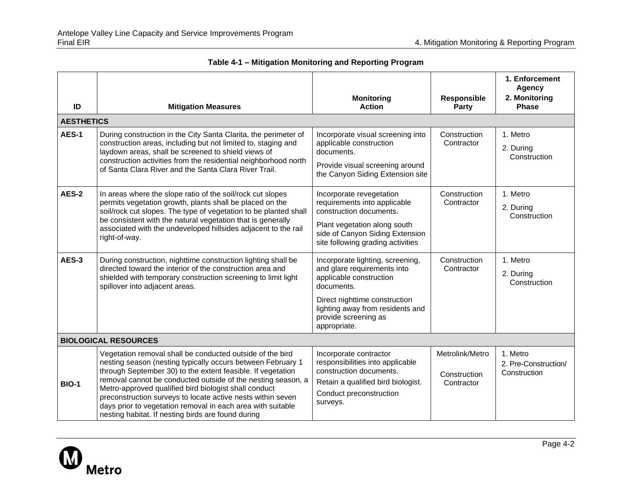|                   |                                                                                                                                                                                                                                                                                                                                                                                                                                                                                                      |                                                                                                                                                                                                                       |                                               | 1. Enforcement<br>Agency                         |
|-------------------|------------------------------------------------------------------------------------------------------------------------------------------------------------------------------------------------------------------------------------------------------------------------------------------------------------------------------------------------------------------------------------------------------------------------------------------------------------------------------------------------------|-----------------------------------------------------------------------------------------------------------------------------------------------------------------------------------------------------------------------|-----------------------------------------------|--------------------------------------------------|
| ID                | <b>Mitigation Measures</b>                                                                                                                                                                                                                                                                                                                                                                                                                                                                           | <b>Monitoring</b><br><b>Action</b>                                                                                                                                                                                    | <b>Responsible</b><br>Party                   | 2. Monitoring<br><b>Phase</b>                    |
| <b>AESTHETICS</b> |                                                                                                                                                                                                                                                                                                                                                                                                                                                                                                      |                                                                                                                                                                                                                       |                                               |                                                  |
| <b>AES-1</b>      | During construction in the City Santa Clarita, the perimeter of<br>construction areas, including but not limited to, staging and<br>laydown areas, shall be screened to shield views of<br>construction activities from the residential neighborhood north<br>of Santa Clara River and the Santa Clara River Trail.                                                                                                                                                                                  | Incorporate visual screening into<br>applicable construction<br>documents.<br>Provide visual screening around<br>the Canyon Siding Extension site                                                                     | Construction<br>Contractor                    | 1. Metro<br>2. During<br>Construction            |
| <b>AES-2</b>      | In areas where the slope ratio of the soil/rock cut slopes<br>permits vegetation growth, plants shall be placed on the<br>soil/rock cut slopes. The type of vegetation to be planted shall<br>be consistent with the natural vegetation that is generally<br>associated with the undeveloped hillsides adjacent to the rail<br>right-of-way.                                                                                                                                                         | Incorporate revegetation<br>requirements into applicable<br>construction documents.<br>Plant vegetation along south<br>side of Canyon Siding Extension<br>site following grading activities                           | Construction<br>Contractor                    | 1. Metro<br>2. During<br>Construction            |
| AES-3             | During construction, nighttime construction lighting shall be<br>directed toward the interior of the construction area and<br>shielded with temporary construction screening to limit light<br>spillover into adjacent areas.                                                                                                                                                                                                                                                                        | Incorporate lighting, screening,<br>and glare requirements into<br>applicable construction<br>documents.<br>Direct nighttime construction<br>lighting away from residents and<br>provide screening as<br>appropriate. | Construction<br>Contractor                    | 1. Metro<br>2. During<br>Construction            |
|                   | <b>BIOLOGICAL RESOURCES</b>                                                                                                                                                                                                                                                                                                                                                                                                                                                                          |                                                                                                                                                                                                                       |                                               |                                                  |
| <b>BIO-1</b>      | Vegetation removal shall be conducted outside of the bird<br>nesting season (nesting typically occurs between February 1<br>through September 30) to the extent feasible. If vegetation<br>removal cannot be conducted outside of the nesting season, a<br>Metro-approved qualified bird biologist shall conduct<br>preconstruction surveys to locate active nests within seven<br>days prior to vegetation removal in each area with suitable<br>nesting habitat. If nesting birds are found during | Incorporate contractor<br>responsibilities into applicable<br>construction documents.<br>Retain a qualified bird biologist.<br>Conduct preconstruction<br>surveys.                                                    | Metrolink/Metro<br>Construction<br>Contractor | 1. Metro<br>2. Pre-Construction/<br>Construction |

## **Table 4-1 – Mitigation Monitoring and Reporting Program**

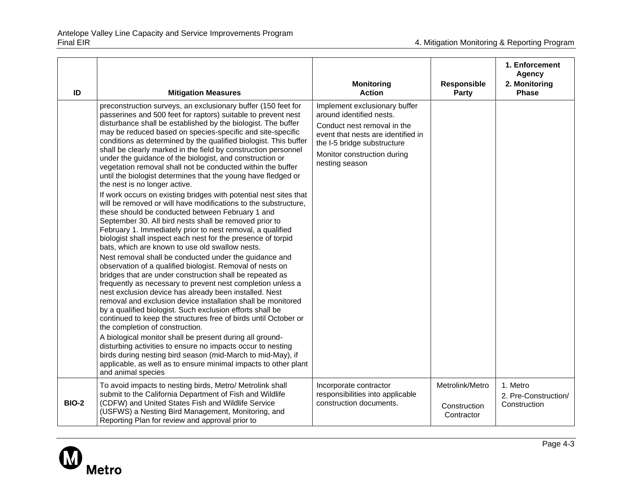| ID           | <b>Mitigation Measures</b>                                                                                                                                                                                                                                                                                                                                                                                                                                                                                                                                                                                                                                                                                                                                                                                                                                                                                                                                                                                                                                                                                                                                                                                                                                                                                                                                                                                                                                                                                                                                                                                                                                                                                                                                                                                                                                                          | <b>Monitoring</b><br><b>Action</b>                                                                                                                                                                             | Responsible<br><b>Party</b>                   | 1. Enforcement<br><b>Agency</b><br>2. Monitoring<br><b>Phase</b> |
|--------------|-------------------------------------------------------------------------------------------------------------------------------------------------------------------------------------------------------------------------------------------------------------------------------------------------------------------------------------------------------------------------------------------------------------------------------------------------------------------------------------------------------------------------------------------------------------------------------------------------------------------------------------------------------------------------------------------------------------------------------------------------------------------------------------------------------------------------------------------------------------------------------------------------------------------------------------------------------------------------------------------------------------------------------------------------------------------------------------------------------------------------------------------------------------------------------------------------------------------------------------------------------------------------------------------------------------------------------------------------------------------------------------------------------------------------------------------------------------------------------------------------------------------------------------------------------------------------------------------------------------------------------------------------------------------------------------------------------------------------------------------------------------------------------------------------------------------------------------------------------------------------------------|----------------------------------------------------------------------------------------------------------------------------------------------------------------------------------------------------------------|-----------------------------------------------|------------------------------------------------------------------|
|              | preconstruction surveys, an exclusionary buffer (150 feet for<br>passerines and 500 feet for raptors) suitable to prevent nest<br>disturbance shall be established by the biologist. The buffer<br>may be reduced based on species-specific and site-specific<br>conditions as determined by the qualified biologist. This buffer<br>shall be clearly marked in the field by construction personnel<br>under the guidance of the biologist, and construction or<br>vegetation removal shall not be conducted within the buffer<br>until the biologist determines that the young have fledged or<br>the nest is no longer active.<br>If work occurs on existing bridges with potential nest sites that<br>will be removed or will have modifications to the substructure,<br>these should be conducted between February 1 and<br>September 30. All bird nests shall be removed prior to<br>February 1. Immediately prior to nest removal, a qualified<br>biologist shall inspect each nest for the presence of torpid<br>bats, which are known to use old swallow nests.<br>Nest removal shall be conducted under the guidance and<br>observation of a qualified biologist. Removal of nests on<br>bridges that are under construction shall be repeated as<br>frequently as necessary to prevent nest completion unless a<br>nest exclusion device has already been installed. Nest<br>removal and exclusion device installation shall be monitored<br>by a qualified biologist. Such exclusion efforts shall be<br>continued to keep the structures free of birds until October or<br>the completion of construction.<br>A biological monitor shall be present during all ground-<br>disturbing activities to ensure no impacts occur to nesting<br>birds during nesting bird season (mid-March to mid-May), if<br>applicable, as well as to ensure minimal impacts to other plant | Implement exclusionary buffer<br>around identified nests.<br>Conduct nest removal in the<br>event that nests are identified in<br>the I-5 bridge substructure<br>Monitor construction during<br>nesting season |                                               |                                                                  |
| <b>BIO-2</b> | and animal species<br>To avoid impacts to nesting birds, Metro/ Metrolink shall<br>submit to the California Department of Fish and Wildlife<br>(CDFW) and United States Fish and Wildlife Service<br>(USFWS) a Nesting Bird Management, Monitoring, and<br>Reporting Plan for review and approval prior to                                                                                                                                                                                                                                                                                                                                                                                                                                                                                                                                                                                                                                                                                                                                                                                                                                                                                                                                                                                                                                                                                                                                                                                                                                                                                                                                                                                                                                                                                                                                                                          | Incorporate contractor<br>responsibilities into applicable<br>construction documents.                                                                                                                          | Metrolink/Metro<br>Construction<br>Contractor | 1. Metro<br>2. Pre-Construction/<br>Construction                 |

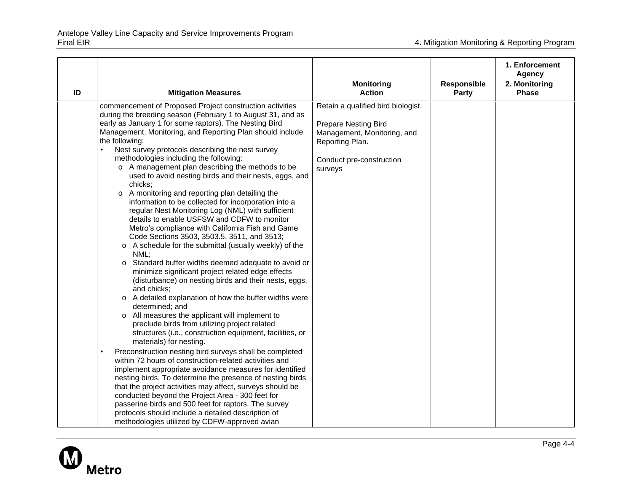| ID | <b>Mitigation Measures</b>                                                                                                                                                                                                                                                                                                                                                                                                                                                                                                                                                                                                                                                                                                                                                                                                                                                                                                                                                                                                                                                                                                                                                                                                                                                                                                                        | <b>Monitoring</b><br><b>Action</b>                                                                                                                         | Responsible<br><b>Party</b> | 1. Enforcement<br><b>Agency</b><br>2. Monitoring<br><b>Phase</b> |
|----|---------------------------------------------------------------------------------------------------------------------------------------------------------------------------------------------------------------------------------------------------------------------------------------------------------------------------------------------------------------------------------------------------------------------------------------------------------------------------------------------------------------------------------------------------------------------------------------------------------------------------------------------------------------------------------------------------------------------------------------------------------------------------------------------------------------------------------------------------------------------------------------------------------------------------------------------------------------------------------------------------------------------------------------------------------------------------------------------------------------------------------------------------------------------------------------------------------------------------------------------------------------------------------------------------------------------------------------------------|------------------------------------------------------------------------------------------------------------------------------------------------------------|-----------------------------|------------------------------------------------------------------|
|    | commencement of Proposed Project construction activities<br>during the breeding season (February 1 to August 31, and as<br>early as January 1 for some raptors). The Nesting Bird<br>Management, Monitoring, and Reporting Plan should include<br>the following:<br>Nest survey protocols describing the nest survey<br>methodologies including the following:<br>o A management plan describing the methods to be<br>used to avoid nesting birds and their nests, eggs, and<br>chicks;<br>o A monitoring and reporting plan detailing the<br>information to be collected for incorporation into a<br>regular Nest Monitoring Log (NML) with sufficient<br>details to enable USFSW and CDFW to monitor<br>Metro's compliance with California Fish and Game<br>Code Sections 3503, 3503.5, 3511, and 3513;<br>o A schedule for the submittal (usually weekly) of the<br>NML;<br>Standard buffer widths deemed adequate to avoid or<br>$\Omega$<br>minimize significant project related edge effects<br>(disturbance) on nesting birds and their nests, eggs,<br>and chicks;<br>o A detailed explanation of how the buffer widths were<br>determined; and<br>o All measures the applicant will implement to<br>preclude birds from utilizing project related<br>structures (i.e., construction equipment, facilities, or<br>materials) for nesting. | Retain a qualified bird biologist.<br><b>Prepare Nesting Bird</b><br>Management, Monitoring, and<br>Reporting Plan.<br>Conduct pre-construction<br>surveys |                             |                                                                  |
|    | Preconstruction nesting bird surveys shall be completed<br>$\bullet$<br>within 72 hours of construction-related activities and<br>implement appropriate avoidance measures for identified<br>nesting birds. To determine the presence of nesting birds<br>that the project activities may affect, surveys should be<br>conducted beyond the Project Area - 300 feet for<br>passerine birds and 500 feet for raptors. The survey<br>protocols should include a detailed description of<br>methodologies utilized by CDFW-approved avian                                                                                                                                                                                                                                                                                                                                                                                                                                                                                                                                                                                                                                                                                                                                                                                                            |                                                                                                                                                            |                             |                                                                  |

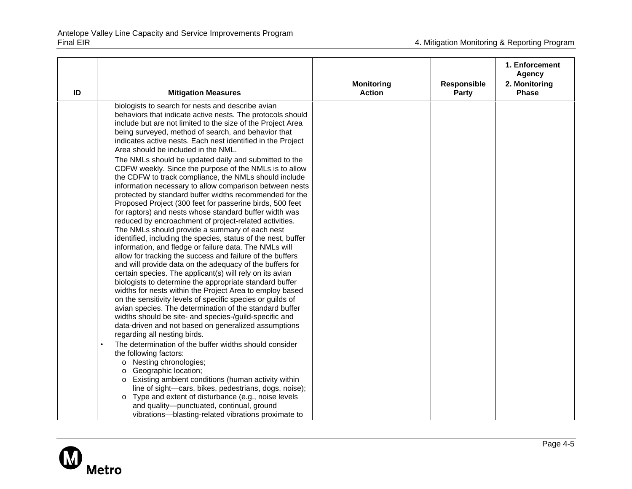| ID | <b>Mitigation Measures</b>                                                                                                                                                                                                                                                                                                                                                                                                                                                                                                                                                                                                                                                                                                                                                                                                                                                                                                                                                                                                                                                                                                                                                                                                                         | <b>Monitoring</b><br><b>Action</b> | Responsible<br><b>Party</b> | 1. Enforcement<br><b>Agency</b><br>2. Monitoring<br><b>Phase</b> |
|----|----------------------------------------------------------------------------------------------------------------------------------------------------------------------------------------------------------------------------------------------------------------------------------------------------------------------------------------------------------------------------------------------------------------------------------------------------------------------------------------------------------------------------------------------------------------------------------------------------------------------------------------------------------------------------------------------------------------------------------------------------------------------------------------------------------------------------------------------------------------------------------------------------------------------------------------------------------------------------------------------------------------------------------------------------------------------------------------------------------------------------------------------------------------------------------------------------------------------------------------------------|------------------------------------|-----------------------------|------------------------------------------------------------------|
|    | biologists to search for nests and describe avian<br>behaviors that indicate active nests. The protocols should<br>include but are not limited to the size of the Project Area<br>being surveyed, method of search, and behavior that<br>indicates active nests. Each nest identified in the Project<br>Area should be included in the NML.                                                                                                                                                                                                                                                                                                                                                                                                                                                                                                                                                                                                                                                                                                                                                                                                                                                                                                        |                                    |                             |                                                                  |
|    | The NMLs should be updated daily and submitted to the<br>CDFW weekly. Since the purpose of the NMLs is to allow<br>the CDFW to track compliance, the NMLs should include<br>information necessary to allow comparison between nests<br>protected by standard buffer widths recommended for the<br>Proposed Project (300 feet for passerine birds, 500 feet<br>for raptors) and nests whose standard buffer width was<br>reduced by encroachment of project-related activities.<br>The NMLs should provide a summary of each nest<br>identified, including the species, status of the nest, buffer<br>information, and fledge or failure data. The NMLs will<br>allow for tracking the success and failure of the buffers<br>and will provide data on the adequacy of the buffers for<br>certain species. The applicant(s) will rely on its avian<br>biologists to determine the appropriate standard buffer<br>widths for nests within the Project Area to employ based<br>on the sensitivity levels of specific species or guilds of<br>avian species. The determination of the standard buffer<br>widths should be site- and species-/guild-specific and<br>data-driven and not based on generalized assumptions<br>regarding all nesting birds. |                                    |                             |                                                                  |
|    | The determination of the buffer widths should consider<br>$\bullet$<br>the following factors:<br>o Nesting chronologies;<br>Geographic location;<br>O<br>Existing ambient conditions (human activity within<br>0<br>line of sight-cars, bikes, pedestrians, dogs, noise);<br>Type and extent of disturbance (e.g., noise levels<br>O<br>and quality-punctuated, continual, ground<br>vibrations-blasting-related vibrations proximate to                                                                                                                                                                                                                                                                                                                                                                                                                                                                                                                                                                                                                                                                                                                                                                                                           |                                    |                             |                                                                  |

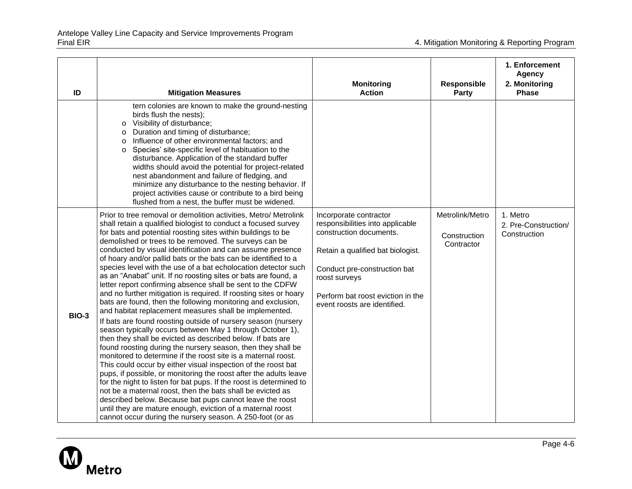| ID           | <b>Mitigation Measures</b>                                                                                                                                                                                                                                                                                                                                                                                                                                                                                                                                                                                                                                                                                                                                                                                                                                                                                                                                                                                                                                                                                                                                                                                                                                                                                                                                                                                                                                                                                                                                                                  | <b>Monitoring</b><br><b>Action</b>                                                                                                                                                                                                               | Responsible<br><b>Party</b>                   | 1. Enforcement<br><b>Agency</b><br>2. Monitoring<br><b>Phase</b> |
|--------------|---------------------------------------------------------------------------------------------------------------------------------------------------------------------------------------------------------------------------------------------------------------------------------------------------------------------------------------------------------------------------------------------------------------------------------------------------------------------------------------------------------------------------------------------------------------------------------------------------------------------------------------------------------------------------------------------------------------------------------------------------------------------------------------------------------------------------------------------------------------------------------------------------------------------------------------------------------------------------------------------------------------------------------------------------------------------------------------------------------------------------------------------------------------------------------------------------------------------------------------------------------------------------------------------------------------------------------------------------------------------------------------------------------------------------------------------------------------------------------------------------------------------------------------------------------------------------------------------|--------------------------------------------------------------------------------------------------------------------------------------------------------------------------------------------------------------------------------------------------|-----------------------------------------------|------------------------------------------------------------------|
|              | tern colonies are known to make the ground-nesting<br>birds flush the nests);<br>Visibility of disturbance;<br>0<br>Duration and timing of disturbance;<br>$\circ$<br>Influence of other environmental factors; and<br>O<br>Species' site-specific level of habituation to the<br>$\Omega$<br>disturbance. Application of the standard buffer<br>widths should avoid the potential for project-related<br>nest abandonment and failure of fledging, and<br>minimize any disturbance to the nesting behavior. If<br>project activities cause or contribute to a bird being<br>flushed from a nest, the buffer must be widened.                                                                                                                                                                                                                                                                                                                                                                                                                                                                                                                                                                                                                                                                                                                                                                                                                                                                                                                                                               |                                                                                                                                                                                                                                                  |                                               |                                                                  |
| <b>BIO-3</b> | Prior to tree removal or demolition activities, Metro/ Metrolink<br>shall retain a qualified biologist to conduct a focused survey<br>for bats and potential roosting sites within buildings to be<br>demolished or trees to be removed. The surveys can be<br>conducted by visual identification and can assume presence<br>of hoary and/or pallid bats or the bats can be identified to a<br>species level with the use of a bat echolocation detector such<br>as an "Anabat" unit. If no roosting sites or bats are found, a<br>letter report confirming absence shall be sent to the CDFW<br>and no further mitigation is required. If roosting sites or hoary<br>bats are found, then the following monitoring and exclusion,<br>and habitat replacement measures shall be implemented.<br>If bats are found roosting outside of nursery season (nursery<br>season typically occurs between May 1 through October 1),<br>then they shall be evicted as described below. If bats are<br>found roosting during the nursery season, then they shall be<br>monitored to determine if the roost site is a maternal roost.<br>This could occur by either visual inspection of the roost bat<br>pups, if possible, or monitoring the roost after the adults leave<br>for the night to listen for bat pups. If the roost is determined to<br>not be a maternal roost, then the bats shall be evicted as<br>described below. Because bat pups cannot leave the roost<br>until they are mature enough, eviction of a maternal roost<br>cannot occur during the nursery season. A 250-foot (or as | Incorporate contractor<br>responsibilities into applicable<br>construction documents.<br>Retain a qualified bat biologist.<br>Conduct pre-construction bat<br>roost surveys<br>Perform bat roost eviction in the<br>event roosts are identified. | Metrolink/Metro<br>Construction<br>Contractor | 1. Metro<br>2. Pre-Construction/<br>Construction                 |

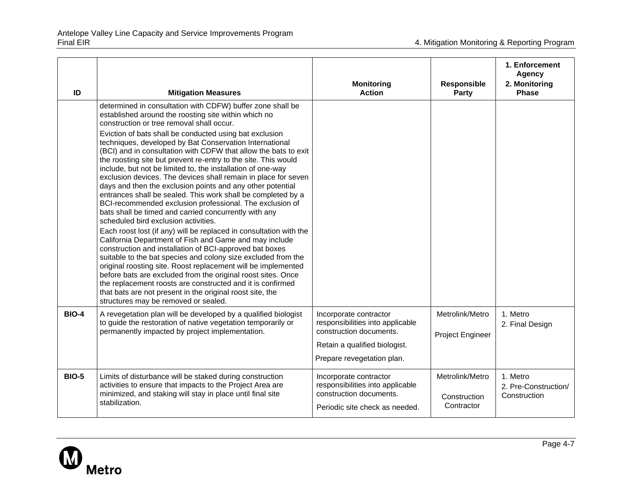| ID           | <b>Mitigation Measures</b>                                                                                                                                                                                                                                                                                                                                                                                                                                                                                                                                                                                                                                                                                                                                                                                                                                                                                                                                                                                                                                                                                                                                                                                                                                                                                                                                                                                             | <b>Monitoring</b><br><b>Action</b>                                                                                                                   | Responsible<br><b>Party</b>                   | 1. Enforcement<br><b>Agency</b><br>2. Monitoring<br>Phase |
|--------------|------------------------------------------------------------------------------------------------------------------------------------------------------------------------------------------------------------------------------------------------------------------------------------------------------------------------------------------------------------------------------------------------------------------------------------------------------------------------------------------------------------------------------------------------------------------------------------------------------------------------------------------------------------------------------------------------------------------------------------------------------------------------------------------------------------------------------------------------------------------------------------------------------------------------------------------------------------------------------------------------------------------------------------------------------------------------------------------------------------------------------------------------------------------------------------------------------------------------------------------------------------------------------------------------------------------------------------------------------------------------------------------------------------------------|------------------------------------------------------------------------------------------------------------------------------------------------------|-----------------------------------------------|-----------------------------------------------------------|
|              | determined in consultation with CDFW) buffer zone shall be<br>established around the roosting site within which no<br>construction or tree removal shall occur.<br>Eviction of bats shall be conducted using bat exclusion<br>techniques, developed by Bat Conservation International<br>(BCI) and in consultation with CDFW that allow the bats to exit<br>the roosting site but prevent re-entry to the site. This would<br>include, but not be limited to, the installation of one-way<br>exclusion devices. The devices shall remain in place for seven<br>days and then the exclusion points and any other potential<br>entrances shall be sealed. This work shall be completed by a<br>BCI-recommended exclusion professional. The exclusion of<br>bats shall be timed and carried concurrently with any<br>scheduled bird exclusion activities.<br>Each roost lost (if any) will be replaced in consultation with the<br>California Department of Fish and Game and may include<br>construction and installation of BCI-approved bat boxes<br>suitable to the bat species and colony size excluded from the<br>original roosting site. Roost replacement will be implemented<br>before bats are excluded from the original roost sites. Once<br>the replacement roosts are constructed and it is confirmed<br>that bats are not present in the original roost site, the<br>structures may be removed or sealed. |                                                                                                                                                      |                                               |                                                           |
| <b>BIO-4</b> | A revegetation plan will be developed by a qualified biologist<br>to guide the restoration of native vegetation temporarily or<br>permanently impacted by project implementation.                                                                                                                                                                                                                                                                                                                                                                                                                                                                                                                                                                                                                                                                                                                                                                                                                                                                                                                                                                                                                                                                                                                                                                                                                                      | Incorporate contractor<br>responsibilities into applicable<br>construction documents.<br>Retain a qualified biologist.<br>Prepare revegetation plan. | Metrolink/Metro<br>Project Engineer           | 1. Metro<br>2. Final Design                               |
| <b>BIO-5</b> | Limits of disturbance will be staked during construction<br>activities to ensure that impacts to the Project Area are<br>minimized, and staking will stay in place until final site<br>stabilization.                                                                                                                                                                                                                                                                                                                                                                                                                                                                                                                                                                                                                                                                                                                                                                                                                                                                                                                                                                                                                                                                                                                                                                                                                  | Incorporate contractor<br>responsibilities into applicable<br>construction documents.<br>Periodic site check as needed.                              | Metrolink/Metro<br>Construction<br>Contractor | 1. Metro<br>2. Pre-Construction/<br>Construction          |

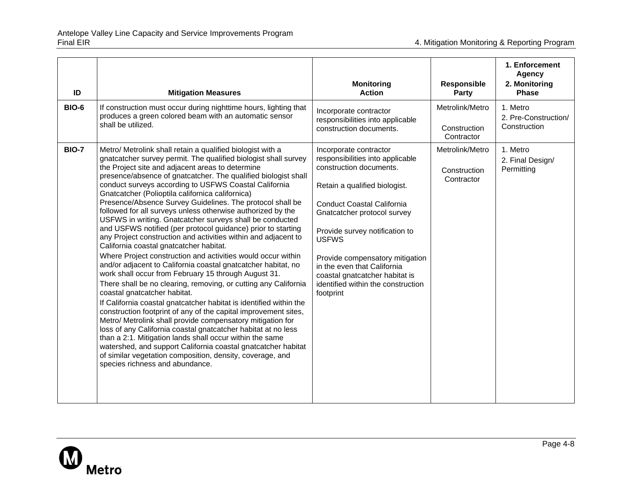| ID           | <b>Mitigation Measures</b>                                                                                                                                                                                                                                                                                                                                                                                                                                                                                                                                                                                                                                                                                                                                                                                                                                                                                                                                                                                                                                                                                                                                                                                                                                                                                                                                                                                                                                                                                                             | <b>Monitoring</b><br><b>Action</b>                                                                                                                                                                                                                                                                                                                                                                  | Responsible<br>Party                          | 1. Enforcement<br><b>Agency</b><br>2. Monitoring<br><b>Phase</b> |
|--------------|----------------------------------------------------------------------------------------------------------------------------------------------------------------------------------------------------------------------------------------------------------------------------------------------------------------------------------------------------------------------------------------------------------------------------------------------------------------------------------------------------------------------------------------------------------------------------------------------------------------------------------------------------------------------------------------------------------------------------------------------------------------------------------------------------------------------------------------------------------------------------------------------------------------------------------------------------------------------------------------------------------------------------------------------------------------------------------------------------------------------------------------------------------------------------------------------------------------------------------------------------------------------------------------------------------------------------------------------------------------------------------------------------------------------------------------------------------------------------------------------------------------------------------------|-----------------------------------------------------------------------------------------------------------------------------------------------------------------------------------------------------------------------------------------------------------------------------------------------------------------------------------------------------------------------------------------------------|-----------------------------------------------|------------------------------------------------------------------|
| <b>BIO-6</b> | If construction must occur during nighttime hours, lighting that<br>produces a green colored beam with an automatic sensor<br>shall be utilized.                                                                                                                                                                                                                                                                                                                                                                                                                                                                                                                                                                                                                                                                                                                                                                                                                                                                                                                                                                                                                                                                                                                                                                                                                                                                                                                                                                                       | Incorporate contractor<br>responsibilities into applicable<br>construction documents.                                                                                                                                                                                                                                                                                                               | Metrolink/Metro<br>Construction<br>Contractor | 1. Metro<br>2. Pre-Construction/<br>Construction                 |
| <b>BIO-7</b> | Metro/ Metrolink shall retain a qualified biologist with a<br>gnatcatcher survey permit. The qualified biologist shall survey<br>the Project site and adjacent areas to determine<br>presence/absence of gnatcatcher. The qualified biologist shall<br>conduct surveys according to USFWS Coastal California<br>Gnatcatcher (Polioptila californica californica)<br>Presence/Absence Survey Guidelines. The protocol shall be<br>followed for all surveys unless otherwise authorized by the<br>USFWS in writing. Gnatcatcher surveys shall be conducted<br>and USFWS notified (per protocol guidance) prior to starting<br>any Project construction and activities within and adjacent to<br>California coastal gnatcatcher habitat.<br>Where Project construction and activities would occur within<br>and/or adjacent to California coastal gnatcatcher habitat, no<br>work shall occur from February 15 through August 31.<br>There shall be no clearing, removing, or cutting any California<br>coastal gnatcatcher habitat.<br>If California coastal gnatcatcher habitat is identified within the<br>construction footprint of any of the capital improvement sites,<br>Metro/ Metrolink shall provide compensatory mitigation for<br>loss of any California coastal gnatcatcher habitat at no less<br>than a 2:1. Mitigation lands shall occur within the same<br>watershed, and support California coastal gnatcatcher habitat<br>of similar vegetation composition, density, coverage, and<br>species richness and abundance. | Incorporate contractor<br>responsibilities into applicable<br>construction documents.<br>Retain a qualified biologist.<br><b>Conduct Coastal California</b><br>Gnatcatcher protocol survey<br>Provide survey notification to<br><b>USFWS</b><br>Provide compensatory mitigation<br>in the even that California<br>coastal gnatcatcher habitat is<br>identified within the construction<br>footprint | Metrolink/Metro<br>Construction<br>Contractor | 1. Metro<br>2. Final Design/<br>Permitting                       |

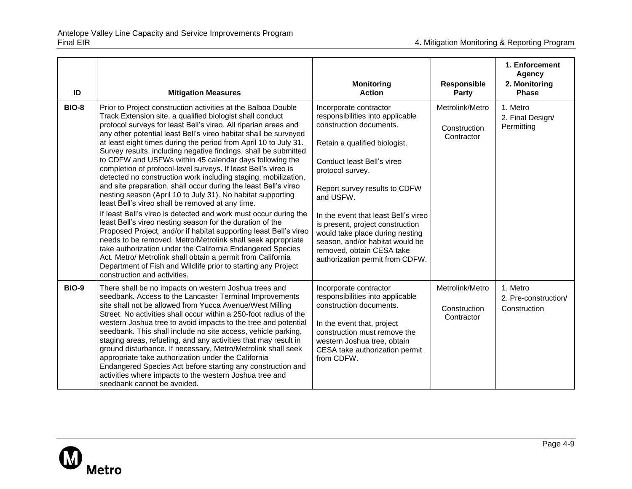| ID           | <b>Mitigation Measures</b>                                                                                                                                                                                                                                                                                                                                                                                                                                                                                                                                                                                                                                                                                                                                                                                                                                                                                                                                                                                                                                                                                                                                                                                                                                                                       | <b>Monitoring</b><br><b>Action</b>                                                                                                                                                                                                                                                                                                                                                                                                       | <b>Responsible</b><br><b>Party</b>            | 1. Enforcement<br><b>Agency</b><br>2. Monitoring<br><b>Phase</b> |
|--------------|--------------------------------------------------------------------------------------------------------------------------------------------------------------------------------------------------------------------------------------------------------------------------------------------------------------------------------------------------------------------------------------------------------------------------------------------------------------------------------------------------------------------------------------------------------------------------------------------------------------------------------------------------------------------------------------------------------------------------------------------------------------------------------------------------------------------------------------------------------------------------------------------------------------------------------------------------------------------------------------------------------------------------------------------------------------------------------------------------------------------------------------------------------------------------------------------------------------------------------------------------------------------------------------------------|------------------------------------------------------------------------------------------------------------------------------------------------------------------------------------------------------------------------------------------------------------------------------------------------------------------------------------------------------------------------------------------------------------------------------------------|-----------------------------------------------|------------------------------------------------------------------|
| <b>BIO-8</b> | Prior to Project construction activities at the Balboa Double<br>Track Extension site, a qualified biologist shall conduct<br>protocol surveys for least Bell's vireo. All riparian areas and<br>any other potential least Bell's vireo habitat shall be surveyed<br>at least eight times during the period from April 10 to July 31.<br>Survey results, including negative findings, shall be submitted<br>to CDFW and USFWs within 45 calendar days following the<br>completion of protocol-level surveys. If least Bell's vireo is<br>detected no construction work including staging, mobilization,<br>and site preparation, shall occur during the least Bell's vireo<br>nesting season (April 10 to July 31). No habitat supporting<br>least Bell's vireo shall be removed at any time.<br>If least Bell's vireo is detected and work must occur during the<br>least Bell's vireo nesting season for the duration of the<br>Proposed Project, and/or if habitat supporting least Bell's vireo<br>needs to be removed, Metro/Metrolink shall seek appropriate<br>take authorization under the California Endangered Species<br>Act. Metro/ Metrolink shall obtain a permit from California<br>Department of Fish and Wildlife prior to starting any Project<br>construction and activities. | Incorporate contractor<br>responsibilities into applicable<br>construction documents.<br>Retain a qualified biologist.<br>Conduct least Bell's vireo<br>protocol survey.<br>Report survey results to CDFW<br>and USFW.<br>In the event that least Bell's vireo<br>is present, project construction<br>would take place during nesting<br>season, and/or habitat would be<br>removed, obtain CESA take<br>authorization permit from CDFW. | Metrolink/Metro<br>Construction<br>Contractor | 1. Metro<br>2. Final Design/<br>Permitting                       |
| <b>BIO-9</b> | There shall be no impacts on western Joshua trees and<br>seedbank. Access to the Lancaster Terminal Improvements<br>site shall not be allowed from Yucca Avenue/West Milling<br>Street. No activities shall occur within a 250-foot radius of the<br>western Joshua tree to avoid impacts to the tree and potential<br>seedbank. This shall include no site access, vehicle parking,<br>staging areas, refueling, and any activities that may result in<br>ground disturbance. If necessary, Metro/Metrolink shall seek<br>appropriate take authorization under the California<br>Endangered Species Act before starting any construction and<br>activities where impacts to the western Joshua tree and<br>seedbank cannot be avoided.                                                                                                                                                                                                                                                                                                                                                                                                                                                                                                                                                          | Incorporate contractor<br>responsibilities into applicable<br>construction documents.<br>In the event that, project<br>construction must remove the<br>western Joshua tree, obtain<br>CESA take authorization permit<br>from CDFW.                                                                                                                                                                                                       | Metrolink/Metro<br>Construction<br>Contractor | 1. Metro<br>2. Pre-construction/<br>Construction                 |

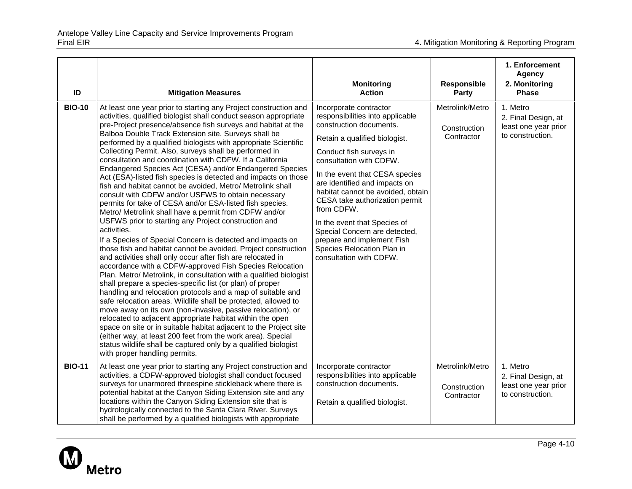| ID            | <b>Mitigation Measures</b>                                                                                                                                                                                                                                                                                                                                                                                                                                                                                                                                                                                                                                                                                                                                                                                                                                                                                                                                                                                                                                                                                                                                                                                                                                                                                                                                                                                                                                                                                                                                                                                                                                                                                                                                                                           | <b>Monitoring</b><br><b>Action</b>                                                                                                                                                                                                                                                                                                                                                                                                                                                           | <b>Responsible</b><br><b>Party</b>            | 1. Enforcement<br>Agency<br>2. Monitoring<br><b>Phase</b>                   |
|---------------|------------------------------------------------------------------------------------------------------------------------------------------------------------------------------------------------------------------------------------------------------------------------------------------------------------------------------------------------------------------------------------------------------------------------------------------------------------------------------------------------------------------------------------------------------------------------------------------------------------------------------------------------------------------------------------------------------------------------------------------------------------------------------------------------------------------------------------------------------------------------------------------------------------------------------------------------------------------------------------------------------------------------------------------------------------------------------------------------------------------------------------------------------------------------------------------------------------------------------------------------------------------------------------------------------------------------------------------------------------------------------------------------------------------------------------------------------------------------------------------------------------------------------------------------------------------------------------------------------------------------------------------------------------------------------------------------------------------------------------------------------------------------------------------------------|----------------------------------------------------------------------------------------------------------------------------------------------------------------------------------------------------------------------------------------------------------------------------------------------------------------------------------------------------------------------------------------------------------------------------------------------------------------------------------------------|-----------------------------------------------|-----------------------------------------------------------------------------|
| <b>BIO-10</b> | At least one year prior to starting any Project construction and<br>activities, qualified biologist shall conduct season appropriate<br>pre-Project presence/absence fish surveys and habitat at the<br>Balboa Double Track Extension site. Surveys shall be<br>performed by a qualified biologists with appropriate Scientific<br>Collecting Permit. Also, surveys shall be performed in<br>consultation and coordination with CDFW. If a California<br>Endangered Species Act (CESA) and/or Endangered Species<br>Act (ESA)-listed fish species is detected and impacts on those<br>fish and habitat cannot be avoided, Metro/ Metrolink shall<br>consult with CDFW and/or USFWS to obtain necessary<br>permits for take of CESA and/or ESA-listed fish species.<br>Metro/ Metrolink shall have a permit from CDFW and/or<br>USFWS prior to starting any Project construction and<br>activities.<br>If a Species of Special Concern is detected and impacts on<br>those fish and habitat cannot be avoided, Project construction<br>and activities shall only occur after fish are relocated in<br>accordance with a CDFW-approved Fish Species Relocation<br>Plan. Metro/ Metrolink, in consultation with a qualified biologist<br>shall prepare a species-specific list (or plan) of proper<br>handling and relocation protocols and a map of suitable and<br>safe relocation areas. Wildlife shall be protected, allowed to<br>move away on its own (non-invasive, passive relocation), or<br>relocated to adjacent appropriate habitat within the open<br>space on site or in suitable habitat adjacent to the Project site<br>(either way, at least 200 feet from the work area). Special<br>status wildlife shall be captured only by a qualified biologist<br>with proper handling permits. | Incorporate contractor<br>responsibilities into applicable<br>construction documents.<br>Retain a qualified biologist.<br>Conduct fish surveys in<br>consultation with CDFW.<br>In the event that CESA species<br>are identified and impacts on<br>habitat cannot be avoided, obtain<br>CESA take authorization permit<br>from CDFW.<br>In the event that Species of<br>Special Concern are detected,<br>prepare and implement Fish<br>Species Relocation Plan in<br>consultation with CDFW. | Metrolink/Metro<br>Construction<br>Contractor | 1. Metro<br>2. Final Design, at<br>least one year prior<br>to construction. |
| <b>BIO-11</b> | At least one year prior to starting any Project construction and<br>activities, a CDFW-approved biologist shall conduct focused<br>surveys for unarmored threespine stickleback where there is<br>potential habitat at the Canyon Siding Extension site and any<br>locations within the Canyon Siding Extension site that is<br>hydrologically connected to the Santa Clara River. Surveys<br>shall be performed by a qualified biologists with appropriate                                                                                                                                                                                                                                                                                                                                                                                                                                                                                                                                                                                                                                                                                                                                                                                                                                                                                                                                                                                                                                                                                                                                                                                                                                                                                                                                          | Incorporate contractor<br>responsibilities into applicable<br>construction documents.<br>Retain a qualified biologist.                                                                                                                                                                                                                                                                                                                                                                       | Metrolink/Metro<br>Construction<br>Contractor | 1. Metro<br>2. Final Design, at<br>least one year prior<br>to construction. |

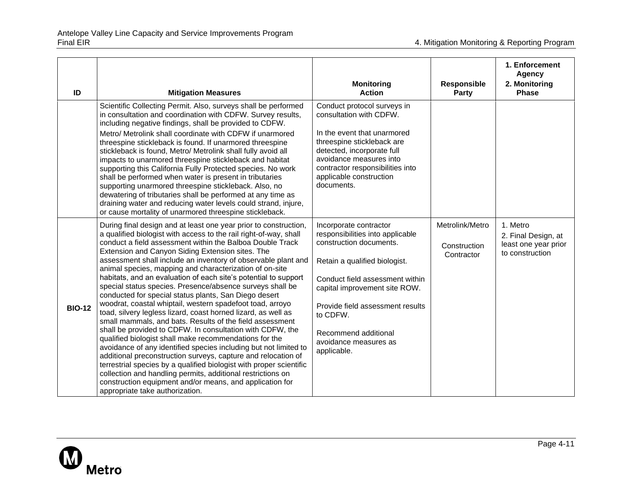| ID            | <b>Mitigation Measures</b>                                                                                                                                                                                                                                                                                                                                                                                                                                                                                                                                                                                                                                                                                                                                                                                                                                                                                                                                                                                                                                                                                                                                                                                                                                             | <b>Monitoring</b><br><b>Action</b>                                                                                                                                                                                                                                                                         | <b>Responsible</b><br><b>Party</b>            | 1. Enforcement<br><b>Agency</b><br>2. Monitoring<br><b>Phase</b>           |
|---------------|------------------------------------------------------------------------------------------------------------------------------------------------------------------------------------------------------------------------------------------------------------------------------------------------------------------------------------------------------------------------------------------------------------------------------------------------------------------------------------------------------------------------------------------------------------------------------------------------------------------------------------------------------------------------------------------------------------------------------------------------------------------------------------------------------------------------------------------------------------------------------------------------------------------------------------------------------------------------------------------------------------------------------------------------------------------------------------------------------------------------------------------------------------------------------------------------------------------------------------------------------------------------|------------------------------------------------------------------------------------------------------------------------------------------------------------------------------------------------------------------------------------------------------------------------------------------------------------|-----------------------------------------------|----------------------------------------------------------------------------|
|               | Scientific Collecting Permit. Also, surveys shall be performed<br>in consultation and coordination with CDFW. Survey results,<br>including negative findings, shall be provided to CDFW.<br>Metro/ Metrolink shall coordinate with CDFW if unarmored<br>threespine stickleback is found. If unarmored threespine<br>stickleback is found, Metro/ Metrolink shall fully avoid all<br>impacts to unarmored threespine stickleback and habitat<br>supporting this California Fully Protected species. No work<br>shall be performed when water is present in tributaries<br>supporting unarmored threespine stickleback. Also, no<br>dewatering of tributaries shall be performed at any time as<br>draining water and reducing water levels could strand, injure,<br>or cause mortality of unarmored threespine stickleback.                                                                                                                                                                                                                                                                                                                                                                                                                                             | Conduct protocol surveys in<br>consultation with CDFW.<br>In the event that unarmored<br>threespine stickleback are<br>detected, incorporate full<br>avoidance measures into<br>contractor responsibilities into<br>applicable construction<br>documents.                                                  |                                               |                                                                            |
| <b>BIO-12</b> | During final design and at least one year prior to construction,<br>a qualified biologist with access to the rail right-of-way, shall<br>conduct a field assessment within the Balboa Double Track<br>Extension and Canyon Siding Extension sites. The<br>assessment shall include an inventory of observable plant and<br>animal species, mapping and characterization of on-site<br>habitats, and an evaluation of each site's potential to support<br>special status species. Presence/absence surveys shall be<br>conducted for special status plants, San Diego desert<br>woodrat, coastal whiptail, western spadefoot toad, arroyo<br>toad, silvery legless lizard, coast horned lizard, as well as<br>small mammals, and bats. Results of the field assessment<br>shall be provided to CDFW. In consultation with CDFW, the<br>qualified biologist shall make recommendations for the<br>avoidance of any identified species including but not limited to<br>additional preconstruction surveys, capture and relocation of<br>terrestrial species by a qualified biologist with proper scientific<br>collection and handling permits, additional restrictions on<br>construction equipment and/or means, and application for<br>appropriate take authorization. | Incorporate contractor<br>responsibilities into applicable<br>construction documents.<br>Retain a qualified biologist.<br>Conduct field assessment within<br>capital improvement site ROW.<br>Provide field assessment results<br>to CDFW.<br>Recommend additional<br>avoidance measures as<br>applicable. | Metrolink/Metro<br>Construction<br>Contractor | 1. Metro<br>2. Final Design, at<br>least one year prior<br>to construction |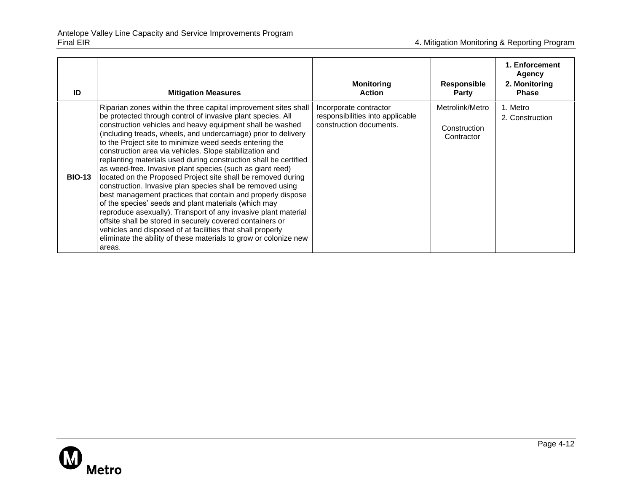| ID            | <b>Mitigation Measures</b>                                                                                                                                                                                                                                                                                                                                                                                                                                                                                                                                                                                                                                                                                                                                                                                                                                                                                                                                                                                                                            | <b>Monitoring</b><br><b>Action</b>                                                    | Responsible<br><b>Party</b>                   | 1. Enforcement<br><b>Agency</b><br>2. Monitoring<br><b>Phase</b> |
|---------------|-------------------------------------------------------------------------------------------------------------------------------------------------------------------------------------------------------------------------------------------------------------------------------------------------------------------------------------------------------------------------------------------------------------------------------------------------------------------------------------------------------------------------------------------------------------------------------------------------------------------------------------------------------------------------------------------------------------------------------------------------------------------------------------------------------------------------------------------------------------------------------------------------------------------------------------------------------------------------------------------------------------------------------------------------------|---------------------------------------------------------------------------------------|-----------------------------------------------|------------------------------------------------------------------|
| <b>BIO-13</b> | Riparian zones within the three capital improvement sites shall<br>be protected through control of invasive plant species. All<br>construction vehicles and heavy equipment shall be washed<br>(including treads, wheels, and undercarriage) prior to delivery<br>to the Project site to minimize weed seeds entering the<br>construction area via vehicles. Slope stabilization and<br>replanting materials used during construction shall be certified<br>as weed-free. Invasive plant species (such as giant reed)<br>located on the Proposed Project site shall be removed during<br>construction. Invasive plan species shall be removed using<br>best management practices that contain and properly dispose<br>of the species' seeds and plant materials (which may<br>reproduce asexually). Transport of any invasive plant material<br>offsite shall be stored in securely covered containers or<br>vehicles and disposed of at facilities that shall properly<br>eliminate the ability of these materials to grow or colonize new<br>areas. | Incorporate contractor<br>responsibilities into applicable<br>construction documents. | Metrolink/Metro<br>Construction<br>Contractor | 1. Metro<br>2. Construction                                      |

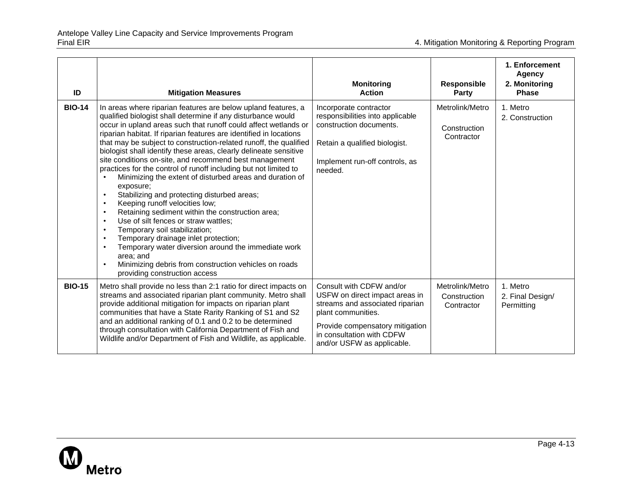| ID            | <b>Mitigation Measures</b>                                                                                                                                                                                                                                                                                                                                                                                                                                                                                                                                                                                                                                                                                                                                                                                                                                                                                                                                                                                                                                            | <b>Monitoring</b><br><b>Action</b>                                                                                                                                                                                | Responsible<br>Party                          | 1. Enforcement<br><b>Agency</b><br>2. Monitoring<br><b>Phase</b> |
|---------------|-----------------------------------------------------------------------------------------------------------------------------------------------------------------------------------------------------------------------------------------------------------------------------------------------------------------------------------------------------------------------------------------------------------------------------------------------------------------------------------------------------------------------------------------------------------------------------------------------------------------------------------------------------------------------------------------------------------------------------------------------------------------------------------------------------------------------------------------------------------------------------------------------------------------------------------------------------------------------------------------------------------------------------------------------------------------------|-------------------------------------------------------------------------------------------------------------------------------------------------------------------------------------------------------------------|-----------------------------------------------|------------------------------------------------------------------|
| <b>BIO-14</b> | In areas where riparian features are below upland features, a<br>qualified biologist shall determine if any disturbance would<br>occur in upland areas such that runoff could affect wetlands or<br>riparian habitat. If riparian features are identified in locations<br>that may be subject to construction-related runoff, the qualified<br>biologist shall identify these areas, clearly delineate sensitive<br>site conditions on-site, and recommend best management<br>practices for the control of runoff including but not limited to<br>Minimizing the extent of disturbed areas and duration of<br>exposure;<br>Stabilizing and protecting disturbed areas;<br>Keeping runoff velocities low;<br>Retaining sediment within the construction area;<br>Use of silt fences or straw wattles;<br>$\bullet$<br>Temporary soil stabilization;<br>Temporary drainage inlet protection;<br>$\bullet$<br>Temporary water diversion around the immediate work<br>area: and<br>Minimizing debris from construction vehicles on roads<br>providing construction access | Incorporate contractor<br>responsibilities into applicable<br>construction documents.<br>Retain a qualified biologist.<br>Implement run-off controls, as<br>needed.                                               | Metrolink/Metro<br>Construction<br>Contractor | 1. Metro<br>2. Construction                                      |
| <b>BIO-15</b> | Metro shall provide no less than 2:1 ratio for direct impacts on<br>streams and associated riparian plant community. Metro shall<br>provide additional mitigation for impacts on riparian plant<br>communities that have a State Rarity Ranking of S1 and S2<br>and an additional ranking of 0.1 and 0.2 to be determined<br>through consultation with California Department of Fish and<br>Wildlife and/or Department of Fish and Wildlife, as applicable.                                                                                                                                                                                                                                                                                                                                                                                                                                                                                                                                                                                                           | Consult with CDFW and/or<br>USFW on direct impact areas in<br>streams and associated riparian<br>plant communities.<br>Provide compensatory mitigation<br>in consultation with CDFW<br>and/or USFW as applicable. | Metrolink/Metro<br>Construction<br>Contractor | 1. Metro<br>2. Final Design/<br>Permitting                       |

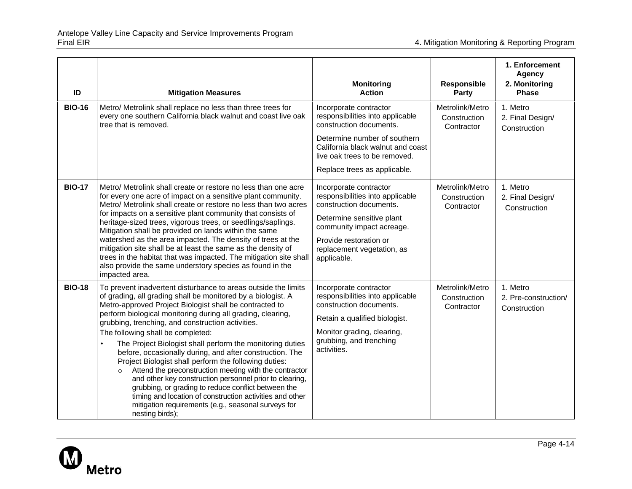| ID            | <b>Mitigation Measures</b>                                                                                                                                                                                                                                                                                                                                                                                                                                                                                                                                                                                                                                                                                                                                                                                                                                        | <b>Monitoring</b><br><b>Action</b>                                                                                                                                                                                          | Responsible<br>Party                          | 1. Enforcement<br><b>Agency</b><br>2. Monitoring<br><b>Phase</b> |
|---------------|-------------------------------------------------------------------------------------------------------------------------------------------------------------------------------------------------------------------------------------------------------------------------------------------------------------------------------------------------------------------------------------------------------------------------------------------------------------------------------------------------------------------------------------------------------------------------------------------------------------------------------------------------------------------------------------------------------------------------------------------------------------------------------------------------------------------------------------------------------------------|-----------------------------------------------------------------------------------------------------------------------------------------------------------------------------------------------------------------------------|-----------------------------------------------|------------------------------------------------------------------|
| <b>BIO-16</b> | Metro/ Metrolink shall replace no less than three trees for<br>every one southern California black walnut and coast live oak<br>tree that is removed.                                                                                                                                                                                                                                                                                                                                                                                                                                                                                                                                                                                                                                                                                                             | Incorporate contractor<br>responsibilities into applicable<br>construction documents.<br>Determine number of southern<br>California black walnut and coast<br>live oak trees to be removed.<br>Replace trees as applicable. | Metrolink/Metro<br>Construction<br>Contractor | 1. Metro<br>2. Final Design/<br>Construction                     |
| <b>BIO-17</b> | Metro/ Metrolink shall create or restore no less than one acre<br>for every one acre of impact on a sensitive plant community.<br>Metro/ Metrolink shall create or restore no less than two acres<br>for impacts on a sensitive plant community that consists of<br>heritage-sized trees, vigorous trees, or seedlings/saplings.<br>Mitigation shall be provided on lands within the same<br>watershed as the area impacted. The density of trees at the<br>mitigation site shall be at least the same as the density of<br>trees in the habitat that was impacted. The mitigation site shall<br>also provide the same understory species as found in the<br>impacted area.                                                                                                                                                                                       | Incorporate contractor<br>responsibilities into applicable<br>construction documents.<br>Determine sensitive plant<br>community impact acreage.<br>Provide restoration or<br>replacement vegetation, as<br>applicable.      | Metrolink/Metro<br>Construction<br>Contractor | 1. Metro<br>2. Final Design/<br>Construction                     |
| <b>BIO-18</b> | To prevent inadvertent disturbance to areas outside the limits<br>of grading, all grading shall be monitored by a biologist. A<br>Metro-approved Project Biologist shall be contracted to<br>perform biological monitoring during all grading, clearing,<br>grubbing, trenching, and construction activities.<br>The following shall be completed:<br>The Project Biologist shall perform the monitoring duties<br>before, occasionally during, and after construction. The<br>Project Biologist shall perform the following duties:<br>Attend the preconstruction meeting with the contractor<br>$\circ$<br>and other key construction personnel prior to clearing,<br>grubbing, or grading to reduce conflict between the<br>timing and location of construction activities and other<br>mitigation requirements (e.g., seasonal surveys for<br>nesting birds); | Incorporate contractor<br>responsibilities into applicable<br>construction documents.<br>Retain a qualified biologist.<br>Monitor grading, clearing,<br>grubbing, and trenching<br>activities.                              | Metrolink/Metro<br>Construction<br>Contractor | 1. Metro<br>2. Pre-construction/<br>Construction                 |

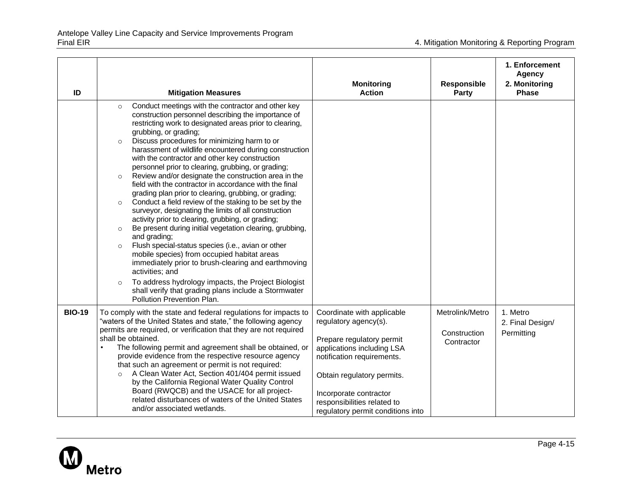| ID            | <b>Mitigation Measures</b>                                                                                                                                                                                                                                                                                                                                                                                                                                                                                                                                                                                                                                                                                                                                                                                                                                                                                                                                                                                                                                                                                                                                                                                                                             | <b>Monitoring</b><br><b>Action</b>                                                                                                                                                                                                                                       | Responsible<br><b>Party</b>                   | 1. Enforcement<br><b>Agency</b><br>2. Monitoring<br><b>Phase</b> |
|---------------|--------------------------------------------------------------------------------------------------------------------------------------------------------------------------------------------------------------------------------------------------------------------------------------------------------------------------------------------------------------------------------------------------------------------------------------------------------------------------------------------------------------------------------------------------------------------------------------------------------------------------------------------------------------------------------------------------------------------------------------------------------------------------------------------------------------------------------------------------------------------------------------------------------------------------------------------------------------------------------------------------------------------------------------------------------------------------------------------------------------------------------------------------------------------------------------------------------------------------------------------------------|--------------------------------------------------------------------------------------------------------------------------------------------------------------------------------------------------------------------------------------------------------------------------|-----------------------------------------------|------------------------------------------------------------------|
|               | Conduct meetings with the contractor and other key<br>$\circ$<br>construction personnel describing the importance of<br>restricting work to designated areas prior to clearing,<br>grubbing, or grading;<br>Discuss procedures for minimizing harm to or<br>$\circ$<br>harassment of wildlife encountered during construction<br>with the contractor and other key construction<br>personnel prior to clearing, grubbing, or grading;<br>Review and/or designate the construction area in the<br>$\circ$<br>field with the contractor in accordance with the final<br>grading plan prior to clearing, grubbing, or grading;<br>Conduct a field review of the staking to be set by the<br>$\circ$<br>surveyor, designating the limits of all construction<br>activity prior to clearing, grubbing, or grading;<br>Be present during initial vegetation clearing, grubbing,<br>$\circ$<br>and grading;<br>Flush special-status species (i.e., avian or other<br>$\circ$<br>mobile species) from occupied habitat areas<br>immediately prior to brush-clearing and earthmoving<br>activities; and<br>To address hydrology impacts, the Project Biologist<br>$\circ$<br>shall verify that grading plans include a Stormwater<br>Pollution Prevention Plan. |                                                                                                                                                                                                                                                                          |                                               |                                                                  |
| <b>BIO-19</b> | To comply with the state and federal regulations for impacts to<br>"waters of the United States and state," the following agency<br>permits are required, or verification that they are not required<br>shall be obtained.<br>The following permit and agreement shall be obtained, or<br>provide evidence from the respective resource agency<br>that such an agreement or permit is not required:<br>A Clean Water Act, Section 401/404 permit issued<br>$\circ$<br>by the California Regional Water Quality Control<br>Board (RWQCB) and the USACE for all project-<br>related disturbances of waters of the United States<br>and/or associated wetlands.                                                                                                                                                                                                                                                                                                                                                                                                                                                                                                                                                                                           | Coordinate with applicable<br>regulatory agency(s).<br>Prepare regulatory permit<br>applications including LSA<br>notification requirements.<br>Obtain regulatory permits.<br>Incorporate contractor<br>responsibilities related to<br>regulatory permit conditions into | Metrolink/Metro<br>Construction<br>Contractor | 1. Metro<br>2. Final Design/<br>Permitting                       |

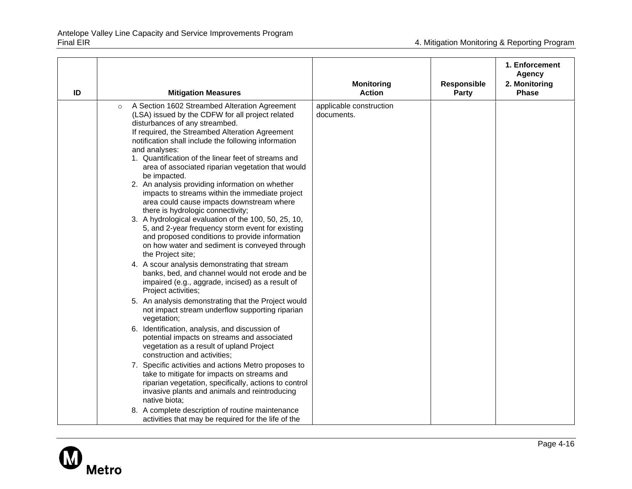| ID      | <b>Mitigation Measures</b>                                                                                                                                                                                                                                                                                                                                                                                                                                                                                                                                                                                                                                                                                                                                                                                                                                                                                                                                                                                                                                                                                                                                                                                                                                                                                                                                                                                                                                                                                                                                                                                                                               | <b>Monitoring</b><br><b>Action</b>    | <b>Responsible</b><br>Party | 1. Enforcement<br><b>Agency</b><br>2. Monitoring<br><b>Phase</b> |
|---------|----------------------------------------------------------------------------------------------------------------------------------------------------------------------------------------------------------------------------------------------------------------------------------------------------------------------------------------------------------------------------------------------------------------------------------------------------------------------------------------------------------------------------------------------------------------------------------------------------------------------------------------------------------------------------------------------------------------------------------------------------------------------------------------------------------------------------------------------------------------------------------------------------------------------------------------------------------------------------------------------------------------------------------------------------------------------------------------------------------------------------------------------------------------------------------------------------------------------------------------------------------------------------------------------------------------------------------------------------------------------------------------------------------------------------------------------------------------------------------------------------------------------------------------------------------------------------------------------------------------------------------------------------------|---------------------------------------|-----------------------------|------------------------------------------------------------------|
| $\circ$ | A Section 1602 Streambed Alteration Agreement<br>(LSA) issued by the CDFW for all project related<br>disturbances of any streambed.<br>If required, the Streambed Alteration Agreement<br>notification shall include the following information<br>and analyses:<br>1. Quantification of the linear feet of streams and<br>area of associated riparian vegetation that would<br>be impacted.<br>2. An analysis providing information on whether<br>impacts to streams within the immediate project<br>area could cause impacts downstream where<br>there is hydrologic connectivity;<br>3. A hydrological evaluation of the 100, 50, 25, 10,<br>5, and 2-year frequency storm event for existing<br>and proposed conditions to provide information<br>on how water and sediment is conveyed through<br>the Project site;<br>4. A scour analysis demonstrating that stream<br>banks, bed, and channel would not erode and be<br>impaired (e.g., aggrade, incised) as a result of<br>Project activities;<br>5. An analysis demonstrating that the Project would<br>not impact stream underflow supporting riparian<br>vegetation;<br>6. Identification, analysis, and discussion of<br>potential impacts on streams and associated<br>vegetation as a result of upland Project<br>construction and activities;<br>7. Specific activities and actions Metro proposes to<br>take to mitigate for impacts on streams and<br>riparian vegetation, specifically, actions to control<br>invasive plants and animals and reintroducing<br>native biota:<br>8. A complete description of routine maintenance<br>activities that may be required for the life of the | applicable construction<br>documents. |                             |                                                                  |

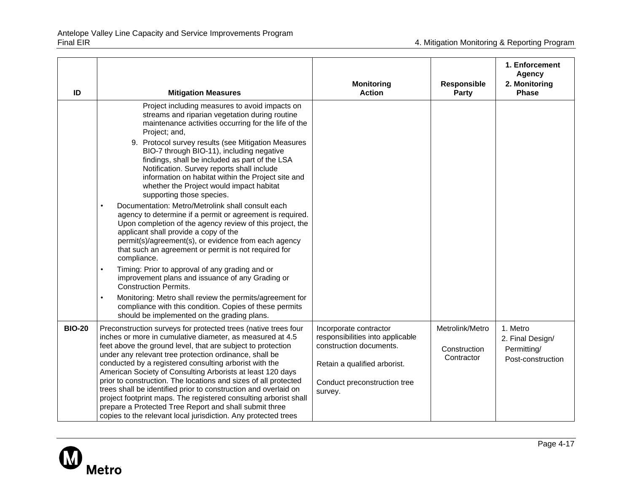| ID            | <b>Mitigation Measures</b>                                                                                                                                                                                                                                                                                                                                                                                                                                                                                                                                                                                                                                                                                                                                                                                                                                                                                                                                                                                                                                                                                                                                                                                              | <b>Monitoring</b><br><b>Action</b>                                                                                                                               | <b>Responsible</b><br>Party                   | 1. Enforcement<br><b>Agency</b><br>2. Monitoring<br><b>Phase</b> |
|---------------|-------------------------------------------------------------------------------------------------------------------------------------------------------------------------------------------------------------------------------------------------------------------------------------------------------------------------------------------------------------------------------------------------------------------------------------------------------------------------------------------------------------------------------------------------------------------------------------------------------------------------------------------------------------------------------------------------------------------------------------------------------------------------------------------------------------------------------------------------------------------------------------------------------------------------------------------------------------------------------------------------------------------------------------------------------------------------------------------------------------------------------------------------------------------------------------------------------------------------|------------------------------------------------------------------------------------------------------------------------------------------------------------------|-----------------------------------------------|------------------------------------------------------------------|
|               | Project including measures to avoid impacts on<br>streams and riparian vegetation during routine<br>maintenance activities occurring for the life of the<br>Project; and,<br>9. Protocol survey results (see Mitigation Measures<br>BIO-7 through BIO-11), including negative<br>findings, shall be included as part of the LSA<br>Notification. Survey reports shall include<br>information on habitat within the Project site and<br>whether the Project would impact habitat<br>supporting those species.<br>Documentation: Metro/Metrolink shall consult each<br>$\bullet$<br>agency to determine if a permit or agreement is required.<br>Upon completion of the agency review of this project, the<br>applicant shall provide a copy of the<br>permit(s)/agreement(s), or evidence from each agency<br>that such an agreement or permit is not required for<br>compliance.<br>$\bullet$<br>Timing: Prior to approval of any grading and or<br>improvement plans and issuance of any Grading or<br><b>Construction Permits.</b><br>Monitoring: Metro shall review the permits/agreement for<br>$\bullet$<br>compliance with this condition. Copies of these permits<br>should be implemented on the grading plans. |                                                                                                                                                                  |                                               |                                                                  |
| <b>BIO-20</b> | Preconstruction surveys for protected trees (native trees four<br>inches or more in cumulative diameter, as measured at 4.5<br>feet above the ground level, that are subject to protection<br>under any relevant tree protection ordinance, shall be<br>conducted by a registered consulting arborist with the<br>American Society of Consulting Arborists at least 120 days<br>prior to construction. The locations and sizes of all protected<br>trees shall be identified prior to construction and overlaid on<br>project footprint maps. The registered consulting arborist shall<br>prepare a Protected Tree Report and shall submit three<br>copies to the relevant local jurisdiction. Any protected trees                                                                                                                                                                                                                                                                                                                                                                                                                                                                                                      | Incorporate contractor<br>responsibilities into applicable<br>construction documents.<br>Retain a qualified arborist.<br>Conduct preconstruction tree<br>survey. | Metrolink/Metro<br>Construction<br>Contractor | 1. Metro<br>2. Final Design/<br>Permitting/<br>Post-construction |

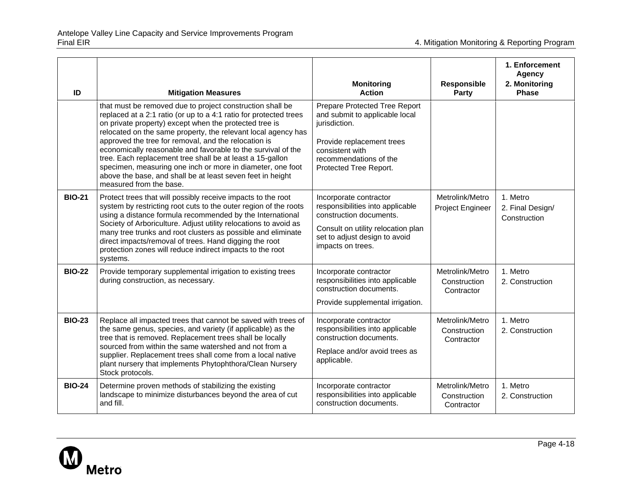| ID            | <b>Mitigation Measures</b>                                                                                                                                                                                                                                                                                                                                                                                                                                                                                                                                                                            | <b>Monitoring</b><br><b>Action</b>                                                                                                                                                   | Responsible<br>Party                          | 1. Enforcement<br><b>Agency</b><br>2. Monitoring<br>Phase |
|---------------|-------------------------------------------------------------------------------------------------------------------------------------------------------------------------------------------------------------------------------------------------------------------------------------------------------------------------------------------------------------------------------------------------------------------------------------------------------------------------------------------------------------------------------------------------------------------------------------------------------|--------------------------------------------------------------------------------------------------------------------------------------------------------------------------------------|-----------------------------------------------|-----------------------------------------------------------|
|               | that must be removed due to project construction shall be<br>replaced at a 2:1 ratio (or up to a 4:1 ratio for protected trees<br>on private property) except when the protected tree is<br>relocated on the same property, the relevant local agency has<br>approved the tree for removal, and the relocation is<br>economically reasonable and favorable to the survival of the<br>tree. Each replacement tree shall be at least a 15-gallon<br>specimen, measuring one inch or more in diameter, one foot<br>above the base, and shall be at least seven feet in height<br>measured from the base. | Prepare Protected Tree Report<br>and submit to applicable local<br>jurisdiction.<br>Provide replacement trees<br>consistent with<br>recommendations of the<br>Protected Tree Report. |                                               |                                                           |
| <b>BIO-21</b> | Protect trees that will possibly receive impacts to the root<br>system by restricting root cuts to the outer region of the roots<br>using a distance formula recommended by the International<br>Society of Arboriculture. Adjust utility relocations to avoid as<br>many tree trunks and root clusters as possible and eliminate<br>direct impacts/removal of trees. Hand digging the root<br>protection zones will reduce indirect impacts to the root<br>systems.                                                                                                                                  | Incorporate contractor<br>responsibilities into applicable<br>construction documents.<br>Consult on utility relocation plan<br>set to adjust design to avoid<br>impacts on trees.    | Metrolink/Metro<br>Project Engineer           | 1. Metro<br>2. Final Design/<br>Construction              |
| <b>BIO-22</b> | Provide temporary supplemental irrigation to existing trees<br>during construction, as necessary.                                                                                                                                                                                                                                                                                                                                                                                                                                                                                                     | Incorporate contractor<br>responsibilities into applicable<br>construction documents.<br>Provide supplemental irrigation.                                                            | Metrolink/Metro<br>Construction<br>Contractor | 1. Metro<br>2. Construction                               |
| <b>BIO-23</b> | Replace all impacted trees that cannot be saved with trees of<br>the same genus, species, and variety (if applicable) as the<br>tree that is removed. Replacement trees shall be locally<br>sourced from within the same watershed and not from a<br>supplier. Replacement trees shall come from a local native<br>plant nursery that implements Phytophthora/Clean Nursery<br>Stock protocols.                                                                                                                                                                                                       | Incorporate contractor<br>responsibilities into applicable<br>construction documents.<br>Replace and/or avoid trees as<br>applicable.                                                | Metrolink/Metro<br>Construction<br>Contractor | 1. Metro<br>2. Construction                               |
| <b>BIO-24</b> | Determine proven methods of stabilizing the existing<br>landscape to minimize disturbances beyond the area of cut<br>and fill.                                                                                                                                                                                                                                                                                                                                                                                                                                                                        | Incorporate contractor<br>responsibilities into applicable<br>construction documents.                                                                                                | Metrolink/Metro<br>Construction<br>Contractor | 1. Metro<br>2. Construction                               |

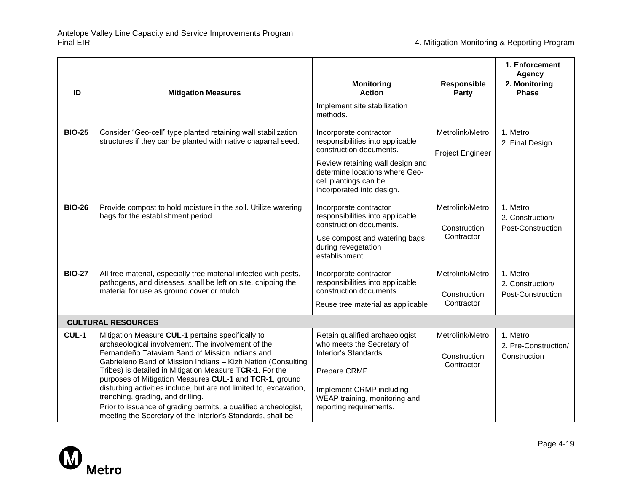| ID            | <b>Mitigation Measures</b>                                                                                                                                                                                                                                                                                                                                                                                                                                                                                                                                                                     | <b>Monitoring</b><br><b>Action</b>                                                                                                                                                                                | <b>Responsible</b><br>Party                   | 1. Enforcement<br><b>Agency</b><br>2. Monitoring<br><b>Phase</b> |
|---------------|------------------------------------------------------------------------------------------------------------------------------------------------------------------------------------------------------------------------------------------------------------------------------------------------------------------------------------------------------------------------------------------------------------------------------------------------------------------------------------------------------------------------------------------------------------------------------------------------|-------------------------------------------------------------------------------------------------------------------------------------------------------------------------------------------------------------------|-----------------------------------------------|------------------------------------------------------------------|
|               |                                                                                                                                                                                                                                                                                                                                                                                                                                                                                                                                                                                                | Implement site stabilization<br>methods.                                                                                                                                                                          |                                               |                                                                  |
| <b>BIO-25</b> | Consider "Geo-cell" type planted retaining wall stabilization<br>structures if they can be planted with native chaparral seed.                                                                                                                                                                                                                                                                                                                                                                                                                                                                 | Incorporate contractor<br>responsibilities into applicable<br>construction documents.<br>Review retaining wall design and<br>determine locations where Geo-<br>cell plantings can be<br>incorporated into design. | Metrolink/Metro<br>Project Engineer           | 1. Metro<br>2. Final Design                                      |
| <b>BIO-26</b> | Provide compost to hold moisture in the soil. Utilize watering<br>bags for the establishment period.                                                                                                                                                                                                                                                                                                                                                                                                                                                                                           | Incorporate contractor<br>responsibilities into applicable<br>construction documents.<br>Use compost and watering bags<br>during revegetation<br>establishment                                                    | Metrolink/Metro<br>Construction<br>Contractor | 1. Metro<br>2. Construction/<br>Post-Construction                |
| <b>BIO-27</b> | All tree material, especially tree material infected with pests,<br>pathogens, and diseases, shall be left on site, chipping the<br>material for use as ground cover or mulch.                                                                                                                                                                                                                                                                                                                                                                                                                 | Incorporate contractor<br>responsibilities into applicable<br>construction documents.<br>Reuse tree material as applicable                                                                                        | Metrolink/Metro<br>Construction<br>Contractor | 1. Metro<br>2. Construction/<br>Post-Construction                |
|               | <b>CULTURAL RESOURCES</b>                                                                                                                                                                                                                                                                                                                                                                                                                                                                                                                                                                      |                                                                                                                                                                                                                   |                                               |                                                                  |
| CUL-1         | Mitigation Measure CUL-1 pertains specifically to<br>archaeological involvement. The involvement of the<br>Fernandeño Tataviam Band of Mission Indians and<br>Gabrieleno Band of Mission Indians - Kizh Nation (Consulting<br>Tribes) is detailed in Mitigation Measure TCR-1. For the<br>purposes of Mitigation Measures CUL-1 and TCR-1, ground<br>disturbing activities include, but are not limited to, excavation,<br>trenching, grading, and drilling.<br>Prior to issuance of grading permits, a qualified archeologist,<br>meeting the Secretary of the Interior's Standards, shall be | Retain qualified archaeologist<br>who meets the Secretary of<br>Interior's Standards.<br>Prepare CRMP.<br>Implement CRMP including<br>WEAP training, monitoring and<br>reporting requirements.                    | Metrolink/Metro<br>Construction<br>Contractor | 1. Metro<br>2. Pre-Construction/<br>Construction                 |

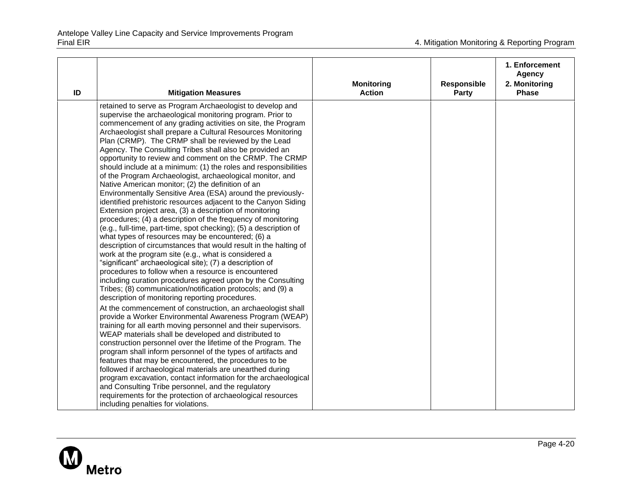| ID | <b>Mitigation Measures</b>                                                                                                                                                                                                                                                                                                                                                                                                                                                                                                                                                                                                                                                                                                                                                                                                                                                                                                                                                                                                                                                                                                                                                                                                                                                                                                                                                                                                                   | <b>Monitoring</b><br><b>Action</b> | <b>Responsible</b><br>Party | 1. Enforcement<br><b>Agency</b><br>2. Monitoring<br><b>Phase</b> |
|----|----------------------------------------------------------------------------------------------------------------------------------------------------------------------------------------------------------------------------------------------------------------------------------------------------------------------------------------------------------------------------------------------------------------------------------------------------------------------------------------------------------------------------------------------------------------------------------------------------------------------------------------------------------------------------------------------------------------------------------------------------------------------------------------------------------------------------------------------------------------------------------------------------------------------------------------------------------------------------------------------------------------------------------------------------------------------------------------------------------------------------------------------------------------------------------------------------------------------------------------------------------------------------------------------------------------------------------------------------------------------------------------------------------------------------------------------|------------------------------------|-----------------------------|------------------------------------------------------------------|
|    | retained to serve as Program Archaeologist to develop and<br>supervise the archaeological monitoring program. Prior to<br>commencement of any grading activities on site, the Program<br>Archaeologist shall prepare a Cultural Resources Monitoring<br>Plan (CRMP). The CRMP shall be reviewed by the Lead<br>Agency. The Consulting Tribes shall also be provided an<br>opportunity to review and comment on the CRMP. The CRMP<br>should include at a minimum: (1) the roles and responsibilities<br>of the Program Archaeologist, archaeological monitor, and<br>Native American monitor; (2) the definition of an<br>Environmentally Sensitive Area (ESA) around the previously-<br>identified prehistoric resources adjacent to the Canyon Siding<br>Extension project area, (3) a description of monitoring<br>procedures; (4) a description of the frequency of monitoring<br>(e.g., full-time, part-time, spot checking); (5) a description of<br>what types of resources may be encountered; (6) a<br>description of circumstances that would result in the halting of<br>work at the program site (e.g., what is considered a<br>"significant" archaeological site); (7) a description of<br>procedures to follow when a resource is encountered<br>including curation procedures agreed upon by the Consulting<br>Tribes; (8) communication/notification protocols; and (9) a<br>description of monitoring reporting procedures. |                                    |                             |                                                                  |
|    | At the commencement of construction, an archaeologist shall<br>provide a Worker Environmental Awareness Program (WEAP)<br>training for all earth moving personnel and their supervisors.<br>WEAP materials shall be developed and distributed to<br>construction personnel over the lifetime of the Program. The<br>program shall inform personnel of the types of artifacts and<br>features that may be encountered, the procedures to be<br>followed if archaeological materials are unearthed during<br>program excavation, contact information for the archaeological<br>and Consulting Tribe personnel, and the regulatory<br>requirements for the protection of archaeological resources<br>including penalties for violations.                                                                                                                                                                                                                                                                                                                                                                                                                                                                                                                                                                                                                                                                                                        |                                    |                             |                                                                  |

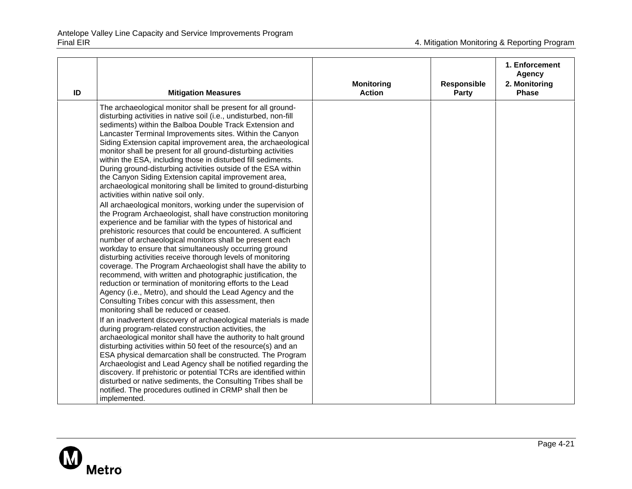| ID | <b>Mitigation Measures</b>                                                                                                                                                                                                                                                                                                                                                                                                                                                                                                                                                                                                                                                                                                                                                                                                                                                                                                                                                                                                                                                                                                                                                                                                                                                                                                                                                                                                                                                                                                                                                                                                                                                                                                                                                                                                                                                                                                                                                                                                                                                                                                   | <b>Monitoring</b><br><b>Action</b> | <b>Responsible</b><br><b>Party</b> | 1. Enforcement<br><b>Agency</b><br>2. Monitoring<br><b>Phase</b> |
|----|------------------------------------------------------------------------------------------------------------------------------------------------------------------------------------------------------------------------------------------------------------------------------------------------------------------------------------------------------------------------------------------------------------------------------------------------------------------------------------------------------------------------------------------------------------------------------------------------------------------------------------------------------------------------------------------------------------------------------------------------------------------------------------------------------------------------------------------------------------------------------------------------------------------------------------------------------------------------------------------------------------------------------------------------------------------------------------------------------------------------------------------------------------------------------------------------------------------------------------------------------------------------------------------------------------------------------------------------------------------------------------------------------------------------------------------------------------------------------------------------------------------------------------------------------------------------------------------------------------------------------------------------------------------------------------------------------------------------------------------------------------------------------------------------------------------------------------------------------------------------------------------------------------------------------------------------------------------------------------------------------------------------------------------------------------------------------------------------------------------------------|------------------------------------|------------------------------------|------------------------------------------------------------------|
|    | The archaeological monitor shall be present for all ground-<br>disturbing activities in native soil (i.e., undisturbed, non-fill<br>sediments) within the Balboa Double Track Extension and<br>Lancaster Terminal Improvements sites. Within the Canyon<br>Siding Extension capital improvement area, the archaeological<br>monitor shall be present for all ground-disturbing activities<br>within the ESA, including those in disturbed fill sediments.<br>During ground-disturbing activities outside of the ESA within<br>the Canyon Siding Extension capital improvement area,<br>archaeological monitoring shall be limited to ground-disturbing<br>activities within native soil only.<br>All archaeological monitors, working under the supervision of<br>the Program Archaeologist, shall have construction monitoring<br>experience and be familiar with the types of historical and<br>prehistoric resources that could be encountered. A sufficient<br>number of archaeological monitors shall be present each<br>workday to ensure that simultaneously occurring ground<br>disturbing activities receive thorough levels of monitoring<br>coverage. The Program Archaeologist shall have the ability to<br>recommend, with written and photographic justification, the<br>reduction or termination of monitoring efforts to the Lead<br>Agency (i.e., Metro), and should the Lead Agency and the<br>Consulting Tribes concur with this assessment, then<br>monitoring shall be reduced or ceased.<br>If an inadvertent discovery of archaeological materials is made<br>during program-related construction activities, the<br>archaeological monitor shall have the authority to halt ground<br>disturbing activities within 50 feet of the resource(s) and an<br>ESA physical demarcation shall be constructed. The Program<br>Archaeologist and Lead Agency shall be notified regarding the<br>discovery. If prehistoric or potential TCRs are identified within<br>disturbed or native sediments, the Consulting Tribes shall be<br>notified. The procedures outlined in CRMP shall then be<br>implemented. |                                    |                                    |                                                                  |

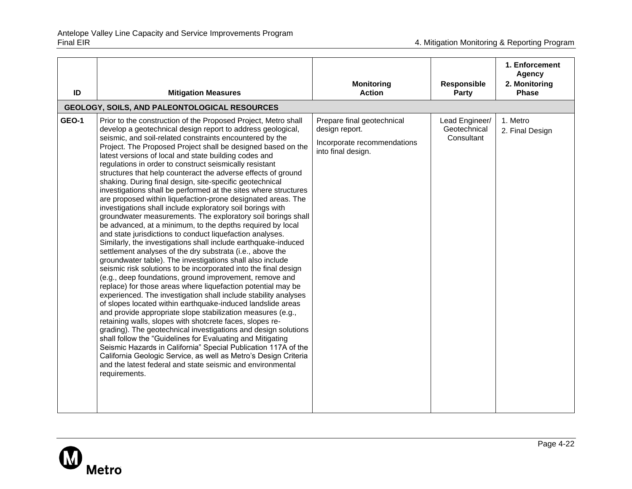| ID    | <b>Mitigation Measures</b>                                                                                                                                                                                                                                                                                                                                                                                                                                                                                                                                                                                                                                                                                                                                                                                                                                                                                                                                                                                                                                                                                                                                                                                                                                                                                                                                                                                                                                                                                                                                                                                                                                                                                                                                                                                                                                                                                        | <b>Monitoring</b><br><b>Action</b>                                                                | Responsible<br>Party                         | 1. Enforcement<br><b>Agency</b><br>2. Monitoring<br><b>Phase</b> |
|-------|-------------------------------------------------------------------------------------------------------------------------------------------------------------------------------------------------------------------------------------------------------------------------------------------------------------------------------------------------------------------------------------------------------------------------------------------------------------------------------------------------------------------------------------------------------------------------------------------------------------------------------------------------------------------------------------------------------------------------------------------------------------------------------------------------------------------------------------------------------------------------------------------------------------------------------------------------------------------------------------------------------------------------------------------------------------------------------------------------------------------------------------------------------------------------------------------------------------------------------------------------------------------------------------------------------------------------------------------------------------------------------------------------------------------------------------------------------------------------------------------------------------------------------------------------------------------------------------------------------------------------------------------------------------------------------------------------------------------------------------------------------------------------------------------------------------------------------------------------------------------------------------------------------------------|---------------------------------------------------------------------------------------------------|----------------------------------------------|------------------------------------------------------------------|
|       | GEOLOGY, SOILS, AND PALEONTOLOGICAL RESOURCES                                                                                                                                                                                                                                                                                                                                                                                                                                                                                                                                                                                                                                                                                                                                                                                                                                                                                                                                                                                                                                                                                                                                                                                                                                                                                                                                                                                                                                                                                                                                                                                                                                                                                                                                                                                                                                                                     |                                                                                                   |                                              |                                                                  |
| GEO-1 | Prior to the construction of the Proposed Project, Metro shall<br>develop a geotechnical design report to address geological,<br>seismic, and soil-related constraints encountered by the<br>Project. The Proposed Project shall be designed based on the<br>latest versions of local and state building codes and<br>regulations in order to construct seismically resistant<br>structures that help counteract the adverse effects of ground<br>shaking. During final design, site-specific geotechnical<br>investigations shall be performed at the sites where structures<br>are proposed within liquefaction-prone designated areas. The<br>investigations shall include exploratory soil borings with<br>groundwater measurements. The exploratory soil borings shall<br>be advanced, at a minimum, to the depths required by local<br>and state jurisdictions to conduct liquefaction analyses.<br>Similarly, the investigations shall include earthquake-induced<br>settlement analyses of the dry substrata (i.e., above the<br>groundwater table). The investigations shall also include<br>seismic risk solutions to be incorporated into the final design<br>(e.g., deep foundations, ground improvement, remove and<br>replace) for those areas where liquefaction potential may be<br>experienced. The investigation shall include stability analyses<br>of slopes located within earthquake-induced landslide areas<br>and provide appropriate slope stabilization measures (e.g.,<br>retaining walls, slopes with shotcrete faces, slopes re-<br>grading). The geotechnical investigations and design solutions<br>shall follow the "Guidelines for Evaluating and Mitigating<br>Seismic Hazards in California" Special Publication 117A of the<br>California Geologic Service, as well as Metro's Design Criteria<br>and the latest federal and state seismic and environmental<br>requirements. | Prepare final geotechnical<br>design report.<br>Incorporate recommendations<br>into final design. | Lead Engineer/<br>Geotechnical<br>Consultant | 1. Metro<br>2. Final Design                                      |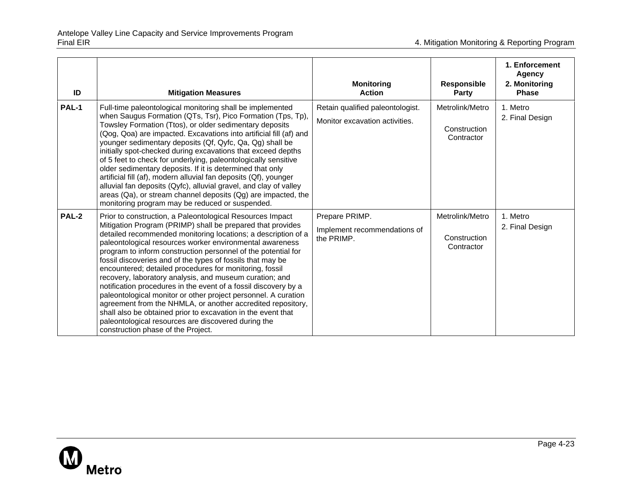| ID           | <b>Mitigation Measures</b>                                                                                                                                                                                                                                                                                                                                                                                                                                                                                                                                                                                                                                                                                                                                                                                                                                                 | <b>Monitoring</b><br><b>Action</b>                                 | <b>Responsible</b><br><b>Party</b>            | 1. Enforcement<br><b>Agency</b><br>2. Monitoring<br><b>Phase</b> |
|--------------|----------------------------------------------------------------------------------------------------------------------------------------------------------------------------------------------------------------------------------------------------------------------------------------------------------------------------------------------------------------------------------------------------------------------------------------------------------------------------------------------------------------------------------------------------------------------------------------------------------------------------------------------------------------------------------------------------------------------------------------------------------------------------------------------------------------------------------------------------------------------------|--------------------------------------------------------------------|-----------------------------------------------|------------------------------------------------------------------|
| <b>PAL-1</b> | Full-time paleontological monitoring shall be implemented<br>when Saugus Formation (QTs, Tsr), Pico Formation (Tps, Tp),<br>Towsley Formation (Ttos), or older sedimentary deposits<br>(Qog, Qoa) are impacted. Excavations into artificial fill (af) and<br>younger sedimentary deposits (Qf, Qyfc, Qa, Qg) shall be<br>initially spot-checked during excavations that exceed depths<br>of 5 feet to check for underlying, paleontologically sensitive<br>older sedimentary deposits. If it is determined that only<br>artificial fill (af), modern alluvial fan deposits (Qf), younger<br>alluvial fan deposits (Qyfc), alluvial gravel, and clay of valley<br>areas (Qa), or stream channel deposits (Qg) are impacted, the<br>monitoring program may be reduced or suspended.                                                                                          | Retain qualified paleontologist.<br>Monitor excavation activities. | Metrolink/Metro<br>Construction<br>Contractor | 1. Metro<br>2. Final Design                                      |
| PAL-2        | Prior to construction, a Paleontological Resources Impact<br>Mitigation Program (PRIMP) shall be prepared that provides<br>detailed recommended monitoring locations; a description of a<br>paleontological resources worker environmental awareness<br>program to inform construction personnel of the potential for<br>fossil discoveries and of the types of fossils that may be<br>encountered; detailed procedures for monitoring, fossil<br>recovery, laboratory analysis, and museum curation; and<br>notification procedures in the event of a fossil discovery by a<br>paleontological monitor or other project personnel. A curation<br>agreement from the NHMLA, or another accredited repository,<br>shall also be obtained prior to excavation in the event that<br>paleontological resources are discovered during the<br>construction phase of the Project. | Prepare PRIMP.<br>Implement recommendations of<br>the PRIMP.       | Metrolink/Metro<br>Construction<br>Contractor | 1. Metro<br>2. Final Design                                      |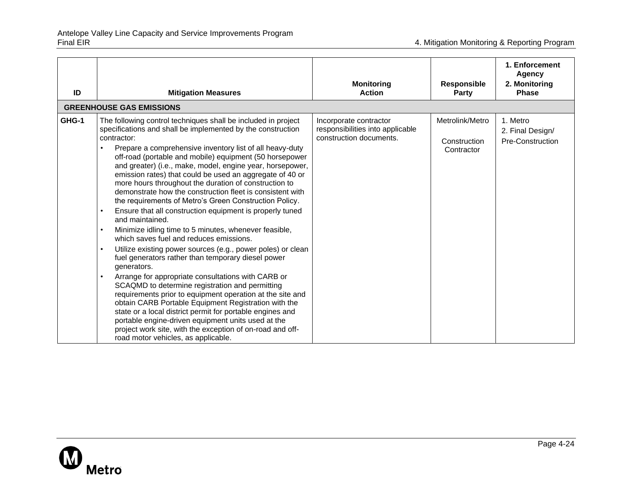| ID    | <b>Mitigation Measures</b>                                                                                                                                                                                                                                                                                                                                                                                                                                                                                                                                                                                                                                                                                                                                                                                                                                                                                                                                                                                                                                                                                                                                                                                                                                                                                                                                                                     | <b>Monitoring</b><br><b>Action</b>                                                    | <b>Responsible</b><br>Party                   | 1. Enforcement<br>Agency<br>2. Monitoring<br><b>Phase</b> |
|-------|------------------------------------------------------------------------------------------------------------------------------------------------------------------------------------------------------------------------------------------------------------------------------------------------------------------------------------------------------------------------------------------------------------------------------------------------------------------------------------------------------------------------------------------------------------------------------------------------------------------------------------------------------------------------------------------------------------------------------------------------------------------------------------------------------------------------------------------------------------------------------------------------------------------------------------------------------------------------------------------------------------------------------------------------------------------------------------------------------------------------------------------------------------------------------------------------------------------------------------------------------------------------------------------------------------------------------------------------------------------------------------------------|---------------------------------------------------------------------------------------|-----------------------------------------------|-----------------------------------------------------------|
|       | <b>GREENHOUSE GAS EMISSIONS</b>                                                                                                                                                                                                                                                                                                                                                                                                                                                                                                                                                                                                                                                                                                                                                                                                                                                                                                                                                                                                                                                                                                                                                                                                                                                                                                                                                                |                                                                                       |                                               |                                                           |
| GHG-1 | The following control techniques shall be included in project<br>specifications and shall be implemented by the construction<br>contractor:<br>Prepare a comprehensive inventory list of all heavy-duty<br>$\bullet$<br>off-road (portable and mobile) equipment (50 horsepower<br>and greater) (i.e., make, model, engine year, horsepower,<br>emission rates) that could be used an aggregate of 40 or<br>more hours throughout the duration of construction to<br>demonstrate how the construction fleet is consistent with<br>the requirements of Metro's Green Construction Policy.<br>Ensure that all construction equipment is properly tuned<br>and maintained.<br>Minimize idling time to 5 minutes, whenever feasible,<br>$\bullet$<br>which saves fuel and reduces emissions.<br>Utilize existing power sources (e.g., power poles) or clean<br>$\bullet$<br>fuel generators rather than temporary diesel power<br>generators.<br>Arrange for appropriate consultations with CARB or<br>SCAQMD to determine registration and permitting<br>requirements prior to equipment operation at the site and<br>obtain CARB Portable Equipment Registration with the<br>state or a local district permit for portable engines and<br>portable engine-driven equipment units used at the<br>project work site, with the exception of on-road and off-<br>road motor vehicles, as applicable. | Incorporate contractor<br>responsibilities into applicable<br>construction documents. | Metrolink/Metro<br>Construction<br>Contractor | 1. Metro<br>2. Final Design/<br>Pre-Construction          |

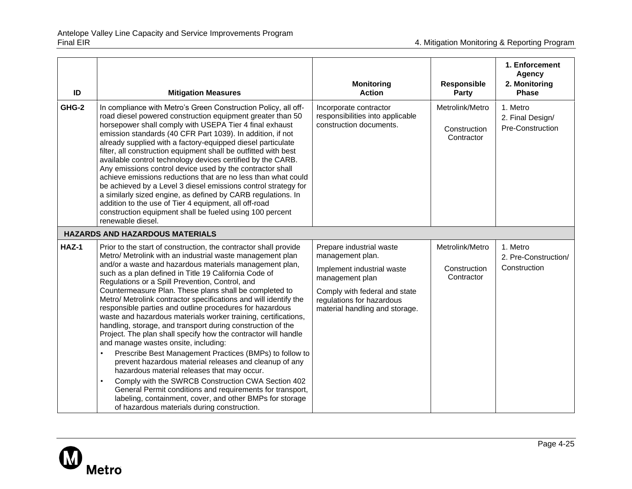| ID    | <b>Mitigation Measures</b>                                                                                                                                                                                                                                                                                                                                                                                                                                                                                                                                                                                                                                                                                                                                                                                                                                       | <b>Monitoring</b><br><b>Action</b>                                                            | <b>Responsible</b><br><b>Party</b>            | 1. Enforcement<br><b>Agency</b><br>2. Monitoring<br><b>Phase</b> |
|-------|------------------------------------------------------------------------------------------------------------------------------------------------------------------------------------------------------------------------------------------------------------------------------------------------------------------------------------------------------------------------------------------------------------------------------------------------------------------------------------------------------------------------------------------------------------------------------------------------------------------------------------------------------------------------------------------------------------------------------------------------------------------------------------------------------------------------------------------------------------------|-----------------------------------------------------------------------------------------------|-----------------------------------------------|------------------------------------------------------------------|
| GHG-2 | In compliance with Metro's Green Construction Policy, all off-<br>road diesel powered construction equipment greater than 50<br>horsepower shall comply with USEPA Tier 4 final exhaust<br>emission standards (40 CFR Part 1039). In addition, if not<br>already supplied with a factory-equipped diesel particulate<br>filter, all construction equipment shall be outfitted with best<br>available control technology devices certified by the CARB.<br>Any emissions control device used by the contractor shall<br>achieve emissions reductions that are no less than what could<br>be achieved by a Level 3 diesel emissions control strategy for<br>a similarly sized engine, as defined by CARB regulations. In<br>addition to the use of Tier 4 equipment, all off-road<br>construction equipment shall be fueled using 100 percent<br>renewable diesel. | Incorporate contractor<br>responsibilities into applicable<br>construction documents.         | Metrolink/Metro<br>Construction<br>Contractor | 1. Metro<br>2. Final Design/<br>Pre-Construction                 |
|       | <b>HAZARDS AND HAZARDOUS MATERIALS</b>                                                                                                                                                                                                                                                                                                                                                                                                                                                                                                                                                                                                                                                                                                                                                                                                                           |                                                                                               |                                               |                                                                  |
| HAZ-1 | Prior to the start of construction, the contractor shall provide<br>Metro/ Metrolink with an industrial waste management plan<br>and/or a waste and hazardous materials management plan,<br>such as a plan defined in Title 19 California Code of<br>Regulations or a Spill Prevention, Control, and                                                                                                                                                                                                                                                                                                                                                                                                                                                                                                                                                             | Prepare industrial waste<br>management plan.<br>Implement industrial waste<br>management plan | Metrolink/Metro<br>Construction<br>Contractor | 1. Metro<br>2. Pre-Construction/<br>Construction                 |
|       | Countermeasure Plan. These plans shall be completed to<br>Metro/ Metrolink contractor specifications and will identify the<br>responsible parties and outline procedures for hazardous<br>waste and hazardous materials worker training, certifications,<br>handling, storage, and transport during construction of the<br>Project. The plan shall specify how the contractor will handle<br>and manage wastes onsite, including:                                                                                                                                                                                                                                                                                                                                                                                                                                | Comply with federal and state<br>regulations for hazardous<br>material handling and storage.  |                                               |                                                                  |
|       | Prescribe Best Management Practices (BMPs) to follow to<br>prevent hazardous material releases and cleanup of any<br>hazardous material releases that may occur.                                                                                                                                                                                                                                                                                                                                                                                                                                                                                                                                                                                                                                                                                                 |                                                                                               |                                               |                                                                  |
|       | Comply with the SWRCB Construction CWA Section 402<br>$\bullet$<br>General Permit conditions and requirements for transport,<br>labeling, containment, cover, and other BMPs for storage<br>of hazardous materials during construction.                                                                                                                                                                                                                                                                                                                                                                                                                                                                                                                                                                                                                          |                                                                                               |                                               |                                                                  |

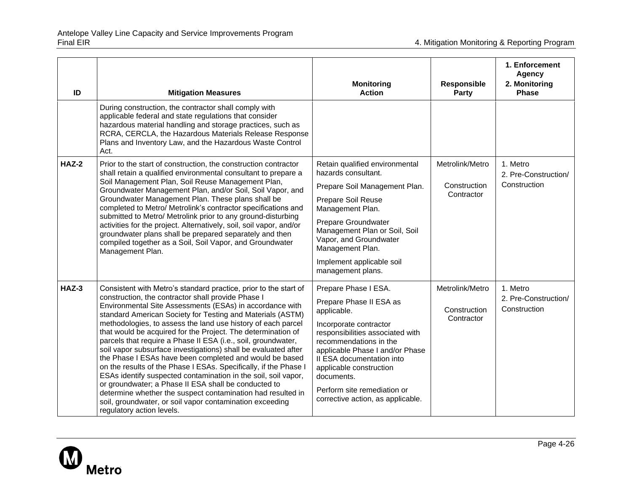| ID           | <b>Mitigation Measures</b>                                                                                                                                                                                                                                                                                                                                                                                                                                                                                                                                                                                                                                                                                                                                                                                                                                                                                                           | <b>Monitoring</b><br><b>Action</b>                                                                                                                                                                                                                                                                                                  | <b>Responsible</b><br><b>Party</b>            | 1. Enforcement<br><b>Agency</b><br>2. Monitoring<br><b>Phase</b> |
|--------------|--------------------------------------------------------------------------------------------------------------------------------------------------------------------------------------------------------------------------------------------------------------------------------------------------------------------------------------------------------------------------------------------------------------------------------------------------------------------------------------------------------------------------------------------------------------------------------------------------------------------------------------------------------------------------------------------------------------------------------------------------------------------------------------------------------------------------------------------------------------------------------------------------------------------------------------|-------------------------------------------------------------------------------------------------------------------------------------------------------------------------------------------------------------------------------------------------------------------------------------------------------------------------------------|-----------------------------------------------|------------------------------------------------------------------|
|              | During construction, the contractor shall comply with<br>applicable federal and state regulations that consider<br>hazardous material handling and storage practices, such as<br>RCRA, CERCLA, the Hazardous Materials Release Response<br>Plans and Inventory Law, and the Hazardous Waste Control<br>Act.                                                                                                                                                                                                                                                                                                                                                                                                                                                                                                                                                                                                                          |                                                                                                                                                                                                                                                                                                                                     |                                               |                                                                  |
| <b>HAZ-2</b> | Prior to the start of construction, the construction contractor<br>shall retain a qualified environmental consultant to prepare a<br>Soil Management Plan, Soil Reuse Management Plan,<br>Groundwater Management Plan, and/or Soil, Soil Vapor, and<br>Groundwater Management Plan. These plans shall be<br>completed to Metro/ Metrolink's contractor specifications and<br>submitted to Metro/ Metrolink prior to any ground-disturbing<br>activities for the project. Alternatively, soil, soil vapor, and/or<br>groundwater plans shall be prepared separately and then<br>compiled together as a Soil, Soil Vapor, and Groundwater<br>Management Plan.                                                                                                                                                                                                                                                                          | Retain qualified environmental<br>hazards consultant.<br>Prepare Soil Management Plan.<br><b>Prepare Soil Reuse</b><br>Management Plan.<br>Prepare Groundwater<br>Management Plan or Soil, Soil<br>Vapor, and Groundwater<br>Management Plan.<br>Implement applicable soil<br>management plans.                                     | Metrolink/Metro<br>Construction<br>Contractor | 1. Metro<br>2. Pre-Construction/<br>Construction                 |
| $HAZ-3$      | Consistent with Metro's standard practice, prior to the start of<br>construction, the contractor shall provide Phase I<br>Environmental Site Assessments (ESAs) in accordance with<br>standard American Society for Testing and Materials (ASTM)<br>methodologies, to assess the land use history of each parcel<br>that would be acquired for the Project. The determination of<br>parcels that require a Phase II ESA (i.e., soil, groundwater,<br>soil vapor subsurface investigations) shall be evaluated after<br>the Phase I ESAs have been completed and would be based<br>on the results of the Phase I ESAs. Specifically, if the Phase I<br>ESAs identify suspected contamination in the soil, soil vapor,<br>or groundwater; a Phase II ESA shall be conducted to<br>determine whether the suspect contamination had resulted in<br>soil, groundwater, or soil vapor contamination exceeding<br>regulatory action levels. | Prepare Phase I ESA.<br>Prepare Phase II ESA as<br>applicable.<br>Incorporate contractor<br>responsibilities associated with<br>recommendations in the<br>applicable Phase I and/or Phase<br>II ESA documentation into<br>applicable construction<br>documents.<br>Perform site remediation or<br>corrective action, as applicable. | Metrolink/Metro<br>Construction<br>Contractor | 1. Metro<br>2. Pre-Construction/<br>Construction                 |

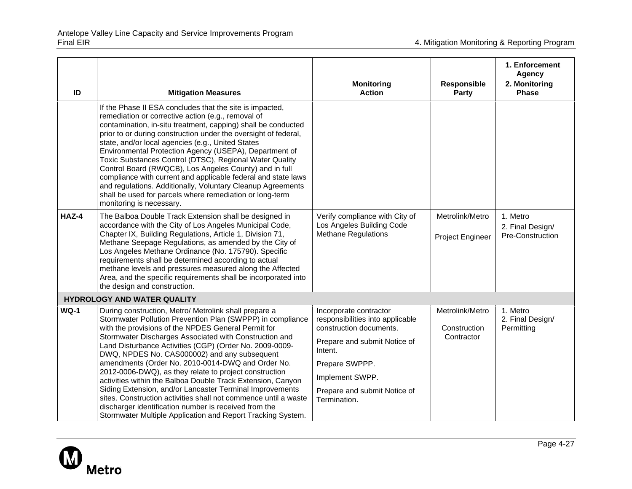| ID          | <b>Mitigation Measures</b>                                                                                                                                                                                                                                                                                                                                                                                                                                                                                                                                                                                                                                                                                                                                                           | <b>Monitoring</b><br><b>Action</b>                                                                                                                                                                                    | <b>Responsible</b><br><b>Party</b>            | 1. Enforcement<br><b>Agency</b><br>2. Monitoring<br><b>Phase</b> |
|-------------|--------------------------------------------------------------------------------------------------------------------------------------------------------------------------------------------------------------------------------------------------------------------------------------------------------------------------------------------------------------------------------------------------------------------------------------------------------------------------------------------------------------------------------------------------------------------------------------------------------------------------------------------------------------------------------------------------------------------------------------------------------------------------------------|-----------------------------------------------------------------------------------------------------------------------------------------------------------------------------------------------------------------------|-----------------------------------------------|------------------------------------------------------------------|
|             | If the Phase II ESA concludes that the site is impacted,<br>remediation or corrective action (e.g., removal of<br>contamination, in-situ treatment, capping) shall be conducted<br>prior to or during construction under the oversight of federal,<br>state, and/or local agencies (e.g., United States<br>Environmental Protection Agency (USEPA), Department of<br>Toxic Substances Control (DTSC), Regional Water Quality<br>Control Board (RWQCB), Los Angeles County) and in full<br>compliance with current and applicable federal and state laws<br>and regulations. Additionally, Voluntary Cleanup Agreements<br>shall be used for parcels where remediation or long-term<br>monitoring is necessary.                                                                       |                                                                                                                                                                                                                       |                                               |                                                                  |
| HAZ-4       | The Balboa Double Track Extension shall be designed in<br>accordance with the City of Los Angeles Municipal Code,<br>Chapter IX, Building Regulations, Article 1, Division 71,<br>Methane Seepage Regulations, as amended by the City of<br>Los Angeles Methane Ordinance (No. 175790). Specific<br>requirements shall be determined according to actual<br>methane levels and pressures measured along the Affected<br>Area, and the specific requirements shall be incorporated into<br>the design and construction.                                                                                                                                                                                                                                                               | Verify compliance with City of<br>Los Angeles Building Code<br><b>Methane Regulations</b>                                                                                                                             | Metrolink/Metro<br>Project Engineer           | 1. Metro<br>2. Final Design/<br>Pre-Construction                 |
|             | <b>HYDROLOGY AND WATER QUALITY</b>                                                                                                                                                                                                                                                                                                                                                                                                                                                                                                                                                                                                                                                                                                                                                   |                                                                                                                                                                                                                       |                                               |                                                                  |
| <b>WQ-1</b> | During construction, Metro/ Metrolink shall prepare a<br>Stormwater Pollution Prevention Plan (SWPPP) in compliance<br>with the provisions of the NPDES General Permit for<br>Stormwater Discharges Associated with Construction and<br>Land Disturbance Activities (CGP) (Order No. 2009-0009-<br>DWQ, NPDES No. CAS000002) and any subsequent<br>amendments (Order No. 2010-0014-DWQ and Order No.<br>2012-0006-DWQ), as they relate to project construction<br>activities within the Balboa Double Track Extension, Canyon<br>Siding Extension, and/or Lancaster Terminal Improvements<br>sites. Construction activities shall not commence until a waste<br>discharger identification number is received from the<br>Stormwater Multiple Application and Report Tracking System. | Incorporate contractor<br>responsibilities into applicable<br>construction documents.<br>Prepare and submit Notice of<br>Intent.<br>Prepare SWPPP.<br>Implement SWPP.<br>Prepare and submit Notice of<br>Termination. | Metrolink/Metro<br>Construction<br>Contractor | 1. Metro<br>2. Final Design/<br>Permitting                       |

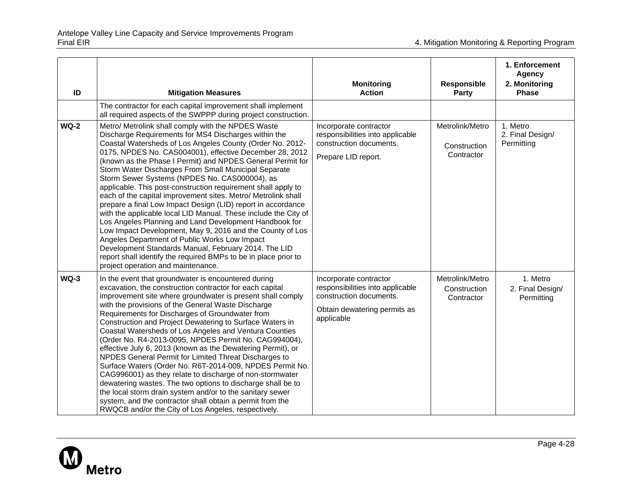| ID     | <b>Mitigation Measures</b>                                                                                                                                                                                                                                                                                                                                                                                                                                                                                                                                                                                                                                                                                                                                                                                                                                                                                                                                                                                              | <b>Monitoring</b><br><b>Action</b>                                                                                                  | <b>Responsible</b><br><b>Party</b>            | 1. Enforcement<br><b>Agency</b><br>2. Monitoring<br><b>Phase</b> |
|--------|-------------------------------------------------------------------------------------------------------------------------------------------------------------------------------------------------------------------------------------------------------------------------------------------------------------------------------------------------------------------------------------------------------------------------------------------------------------------------------------------------------------------------------------------------------------------------------------------------------------------------------------------------------------------------------------------------------------------------------------------------------------------------------------------------------------------------------------------------------------------------------------------------------------------------------------------------------------------------------------------------------------------------|-------------------------------------------------------------------------------------------------------------------------------------|-----------------------------------------------|------------------------------------------------------------------|
|        | The contractor for each capital improvement shall implement<br>all required aspects of the SWPPP during project construction.                                                                                                                                                                                                                                                                                                                                                                                                                                                                                                                                                                                                                                                                                                                                                                                                                                                                                           |                                                                                                                                     |                                               |                                                                  |
| $WQ-2$ | Metro/ Metrolink shall comply with the NPDES Waste<br>Discharge Requirements for MS4 Discharges within the<br>Coastal Watersheds of Los Angeles County (Order No. 2012-<br>0175, NPDES No. CAS004001), effective December 28, 2012<br>(known as the Phase I Permit) and NPDES General Permit for<br>Storm Water Discharges From Small Municipal Separate<br>Storm Sewer Systems (NPDES No. CAS000004), as<br>applicable. This post-construction requirement shall apply to<br>each of the capital improvement sites. Metro/ Metrolink shall<br>prepare a final Low Impact Design (LID) report in accordance<br>with the applicable local LID Manual. These include the City of<br>Los Angeles Planning and Land Development Handbook for<br>Low Impact Development, May 9, 2016 and the County of Los<br>Angeles Department of Public Works Low Impact<br>Development Standards Manual, February 2014. The LID<br>report shall identify the required BMPs to be in place prior to<br>project operation and maintenance. | Incorporate contractor<br>responsibilities into applicable<br>construction documents.<br>Prepare LID report.                        | Metrolink/Metro<br>Construction<br>Contractor | 1. Metro<br>2. Final Design/<br>Permitting                       |
| $WQ-3$ | In the event that groundwater is encountered during<br>excavation, the construction contractor for each capital<br>improvement site where groundwater is present shall comply<br>with the provisions of the General Waste Discharge<br>Requirements for Discharges of Groundwater from<br>Construction and Project Dewatering to Surface Waters in<br>Coastal Watersheds of Los Angeles and Ventura Counties<br>(Order No. R4-2013-0095, NPDES Permit No. CAG994004),<br>effective July 6, 2013 (known as the Dewatering Permit), or<br>NPDES General Permit for Limited Threat Discharges to<br>Surface Waters (Order No. R6T-2014-009, NPDES Permit No.<br>CAG996001) as they relate to discharge of non-stormwater<br>dewatering wastes. The two options to discharge shall be to<br>the local storm drain system and/or to the sanitary sewer<br>system, and the contractor shall obtain a permit from the<br>RWQCB and/or the City of Los Angeles, respectively.                                                   | Incorporate contractor<br>responsibilities into applicable<br>construction documents.<br>Obtain dewatering permits as<br>applicable | Metrolink/Metro<br>Construction<br>Contractor | 1. Metro<br>2. Final Design/<br>Permitting                       |

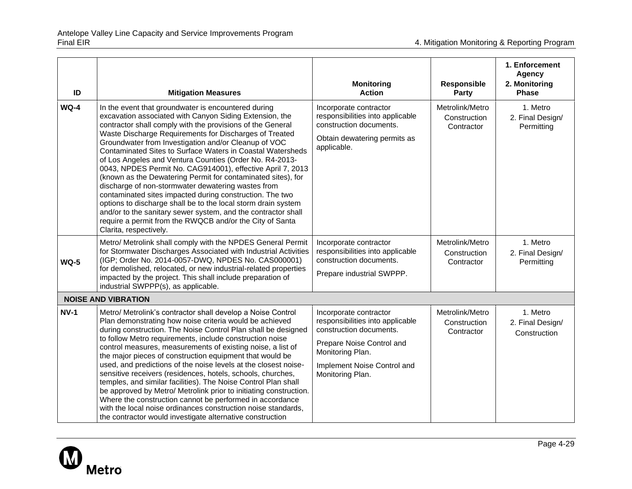| ID          | <b>Mitigation Measures</b>                                                                                                                                                                                                                                                                                                                                                                                                                                                                                                                                                                                                                                                                                                                                                                                                                                                                      | <b>Monitoring</b><br><b>Action</b>                                                                                                                                                        | <b>Responsible</b><br>Party                   | 1. Enforcement<br><b>Agency</b><br>2. Monitoring<br><b>Phase</b> |
|-------------|-------------------------------------------------------------------------------------------------------------------------------------------------------------------------------------------------------------------------------------------------------------------------------------------------------------------------------------------------------------------------------------------------------------------------------------------------------------------------------------------------------------------------------------------------------------------------------------------------------------------------------------------------------------------------------------------------------------------------------------------------------------------------------------------------------------------------------------------------------------------------------------------------|-------------------------------------------------------------------------------------------------------------------------------------------------------------------------------------------|-----------------------------------------------|------------------------------------------------------------------|
| $WQ-4$      | In the event that groundwater is encountered during<br>excavation associated with Canyon Siding Extension, the<br>contractor shall comply with the provisions of the General<br>Waste Discharge Requirements for Discharges of Treated<br>Groundwater from Investigation and/or Cleanup of VOC<br>Contaminated Sites to Surface Waters in Coastal Watersheds<br>of Los Angeles and Ventura Counties (Order No. R4-2013-<br>0043, NPDES Permit No. CAG914001), effective April 7, 2013<br>(known as the Dewatering Permit for contaminated sites), for<br>discharge of non-stormwater dewatering wastes from<br>contaminated sites impacted during construction. The two<br>options to discharge shall be to the local storm drain system<br>and/or to the sanitary sewer system, and the contractor shall<br>require a permit from the RWQCB and/or the City of Santa<br>Clarita, respectively. | Incorporate contractor<br>responsibilities into applicable<br>construction documents.<br>Obtain dewatering permits as<br>applicable.                                                      | Metrolink/Metro<br>Construction<br>Contractor | 1. Metro<br>2. Final Design/<br>Permitting                       |
| $WQ-5$      | Metro/ Metrolink shall comply with the NPDES General Permit<br>for Stormwater Discharges Associated with Industrial Activities<br>(IGP; Order No. 2014-0057-DWQ, NPDES No. CAS000001)<br>for demolished, relocated, or new industrial-related properties<br>impacted by the project. This shall include preparation of<br>industrial SWPPP(s), as applicable.                                                                                                                                                                                                                                                                                                                                                                                                                                                                                                                                   | Incorporate contractor<br>responsibilities into applicable<br>construction documents.<br>Prepare industrial SWPPP.                                                                        | Metrolink/Metro<br>Construction<br>Contractor | 1. Metro<br>2. Final Design/<br>Permitting                       |
|             | <b>NOISE AND VIBRATION</b>                                                                                                                                                                                                                                                                                                                                                                                                                                                                                                                                                                                                                                                                                                                                                                                                                                                                      |                                                                                                                                                                                           |                                               |                                                                  |
| <b>NV-1</b> | Metro/ Metrolink's contractor shall develop a Noise Control<br>Plan demonstrating how noise criteria would be achieved<br>during construction. The Noise Control Plan shall be designed<br>to follow Metro requirements, include construction noise<br>control measures, measurements of existing noise, a list of<br>the major pieces of construction equipment that would be<br>used, and predictions of the noise levels at the closest noise-<br>sensitive receivers (residences, hotels, schools, churches,<br>temples, and similar facilities). The Noise Control Plan shall<br>be approved by Metro/ Metrolink prior to initiating construction.<br>Where the construction cannot be performed in accordance<br>with the local noise ordinances construction noise standards,<br>the contractor would investigate alternative construction                                               | Incorporate contractor<br>responsibilities into applicable<br>construction documents.<br>Prepare Noise Control and<br>Monitoring Plan.<br>Implement Noise Control and<br>Monitoring Plan. | Metrolink/Metro<br>Construction<br>Contractor | 1. Metro<br>2. Final Design/<br>Construction                     |

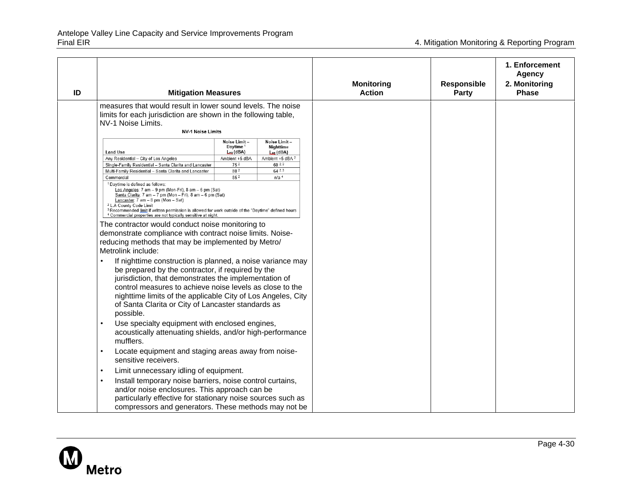| ID | <b>Mitigation Measures</b>                                                                                                                                                                                                                                                                                                                                                                                                                                                                                                                                                                                                                                                                                                                                                                                                                                                                                                                                                                                                                                                                |                                                                                                                                                                                                                                         | <b>Monitoring</b><br><b>Action</b> | Responsible<br><b>Party</b> | 1. Enforcement<br><b>Agency</b><br>2. Monitoring<br><b>Phase</b> |
|----|-------------------------------------------------------------------------------------------------------------------------------------------------------------------------------------------------------------------------------------------------------------------------------------------------------------------------------------------------------------------------------------------------------------------------------------------------------------------------------------------------------------------------------------------------------------------------------------------------------------------------------------------------------------------------------------------------------------------------------------------------------------------------------------------------------------------------------------------------------------------------------------------------------------------------------------------------------------------------------------------------------------------------------------------------------------------------------------------|-----------------------------------------------------------------------------------------------------------------------------------------------------------------------------------------------------------------------------------------|------------------------------------|-----------------------------|------------------------------------------------------------------|
|    | measures that would result in lower sound levels. The noise<br>limits for each jurisdiction are shown in the following table,<br>NV-1 Noise Limits.<br><b>NV-1 Noise Limits</b><br><b>Land Use</b><br>Any Residential - City of Los Angeles<br>Single-Family Residential - Santa Clarita and Lancaster<br>Multi-Family Residential - Santa Clarita and Lancaster<br>Commercial<br><sup>1</sup> Daytime is defined as follows:<br>Los Angeles: 7 am - 9 pm (Mon-Fri), 8 am - 6 pm (Sat)<br>Santa Clarita: 7 am - 7 pm (Mon - Fri), 8 am - 6 pm (Sat)<br>Lancaster: 7 am - 8 pm (Mon - Sat)<br><sup>2</sup> L.A County Code Limit<br><sup>3</sup> Recommended limit if written permission is allowed for work outside of the "Daytime" defined hours<br><sup>4</sup> Commercial properties are not typically sensitive at night.<br>The contractor would conduct noise monitoring to<br>demonstrate compliance with contract noise limits. Noise-<br>reducing methods that may be implemented by Metro/<br>Metrolink include:<br>If nighttime construction is planned, a noise variance may | Noise Limit-<br>Noise Limit-<br>Daytime <sup>1</sup><br>Nighttime<br>$_{\text{leaf}}$ (dBA)<br>$L_{eq}$ (dBA)<br>Ambient +5 dBA <sup>2</sup><br>Ambient +5 dBA<br>60 2.3<br>752<br>64 2.3<br>80 <sup>2</sup><br>852<br>n/a <sup>4</sup> |                                    |                             |                                                                  |
|    | be prepared by the contractor, if required by the<br>jurisdiction, that demonstrates the implementation of<br>control measures to achieve noise levels as close to the<br>nighttime limits of the applicable City of Los Angeles, City<br>of Santa Clarita or City of Lancaster standards as<br>possible.<br>Use specialty equipment with enclosed engines,<br>acoustically attenuating shields, and/or high-performance<br>mufflers.<br>Locate equipment and staging areas away from noise-<br>$\bullet$<br>sensitive receivers.<br>Limit unnecessary idling of equipment.<br>$\bullet$<br>Install temporary noise barriers, noise control curtains,<br>$\bullet$<br>and/or noise enclosures. This approach can be<br>particularly effective for stationary noise sources such as<br>compressors and generators. These methods may not be                                                                                                                                                                                                                                                |                                                                                                                                                                                                                                         |                                    |                             |                                                                  |

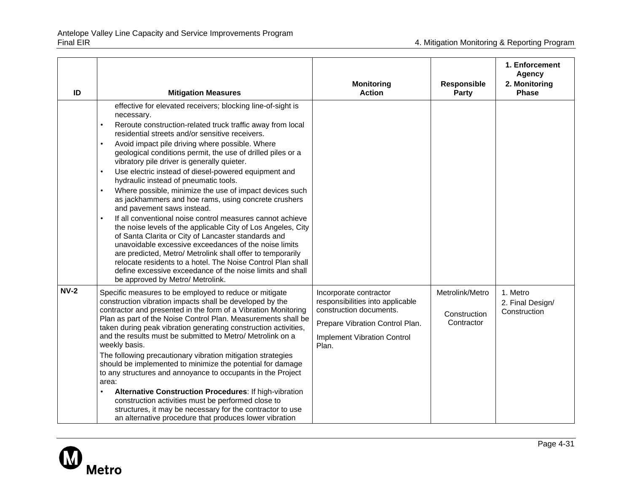| ID     | <b>Mitigation Measures</b>                                                                                                                                                                                                                                                                                                                                                                                                                                                                                                                                                                                                                                                                                                                                                                                                                                                                                                                                                                                                                                                                                                                   | <b>Monitoring</b><br><b>Action</b>                                                                                                                                      | Responsible<br><b>Party</b>                   | 1. Enforcement<br><b>Agency</b><br>2. Monitoring<br><b>Phase</b> |
|--------|----------------------------------------------------------------------------------------------------------------------------------------------------------------------------------------------------------------------------------------------------------------------------------------------------------------------------------------------------------------------------------------------------------------------------------------------------------------------------------------------------------------------------------------------------------------------------------------------------------------------------------------------------------------------------------------------------------------------------------------------------------------------------------------------------------------------------------------------------------------------------------------------------------------------------------------------------------------------------------------------------------------------------------------------------------------------------------------------------------------------------------------------|-------------------------------------------------------------------------------------------------------------------------------------------------------------------------|-----------------------------------------------|------------------------------------------------------------------|
|        | effective for elevated receivers; blocking line-of-sight is<br>necessary.<br>Reroute construction-related truck traffic away from local<br>$\bullet$<br>residential streets and/or sensitive receivers.<br>Avoid impact pile driving where possible. Where<br>geological conditions permit, the use of drilled piles or a<br>vibratory pile driver is generally quieter.<br>Use electric instead of diesel-powered equipment and<br>$\bullet$<br>hydraulic instead of pneumatic tools.<br>Where possible, minimize the use of impact devices such<br>$\bullet$<br>as jackhammers and hoe rams, using concrete crushers<br>and pavement saws instead.<br>If all conventional noise control measures cannot achieve<br>$\bullet$<br>the noise levels of the applicable City of Los Angeles, City<br>of Santa Clarita or City of Lancaster standards and<br>unavoidable excessive exceedances of the noise limits<br>are predicted, Metro/ Metrolink shall offer to temporarily<br>relocate residents to a hotel. The Noise Control Plan shall<br>define excessive exceedance of the noise limits and shall<br>be approved by Metro/ Metrolink. |                                                                                                                                                                         |                                               |                                                                  |
| $NV-2$ | Specific measures to be employed to reduce or mitigate<br>construction vibration impacts shall be developed by the<br>contractor and presented in the form of a Vibration Monitoring<br>Plan as part of the Noise Control Plan. Measurements shall be<br>taken during peak vibration generating construction activities,<br>and the results must be submitted to Metro/ Metrolink on a<br>weekly basis.<br>The following precautionary vibration mitigation strategies<br>should be implemented to minimize the potential for damage<br>to any structures and annoyance to occupants in the Project<br>area:<br>Alternative Construction Procedures: If high-vibration<br>construction activities must be performed close to<br>structures, it may be necessary for the contractor to use<br>an alternative procedure that produces lower vibration                                                                                                                                                                                                                                                                                          | Incorporate contractor<br>responsibilities into applicable<br>construction documents.<br>Prepare Vibration Control Plan.<br><b>Implement Vibration Control</b><br>Plan. | Metrolink/Metro<br>Construction<br>Contractor | 1. Metro<br>2. Final Design/<br>Construction                     |

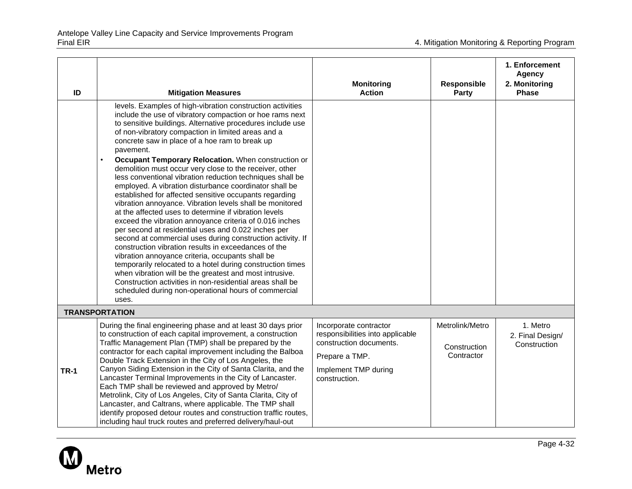| ID          | <b>Mitigation Measures</b>                                                                                                                                                                                                                                                                                                                                                                                                                                                                                                                                                                                                                                                                                                                                                                                                                                                                                                                                                                                                                                                                                                                                                                                                                                                           | <b>Monitoring</b><br><b>Action</b>                                                                                                               | <b>Responsible</b><br>Party                   | 1. Enforcement<br>Agency<br>2. Monitoring<br><b>Phase</b> |
|-------------|--------------------------------------------------------------------------------------------------------------------------------------------------------------------------------------------------------------------------------------------------------------------------------------------------------------------------------------------------------------------------------------------------------------------------------------------------------------------------------------------------------------------------------------------------------------------------------------------------------------------------------------------------------------------------------------------------------------------------------------------------------------------------------------------------------------------------------------------------------------------------------------------------------------------------------------------------------------------------------------------------------------------------------------------------------------------------------------------------------------------------------------------------------------------------------------------------------------------------------------------------------------------------------------|--------------------------------------------------------------------------------------------------------------------------------------------------|-----------------------------------------------|-----------------------------------------------------------|
|             | levels. Examples of high-vibration construction activities<br>include the use of vibratory compaction or hoe rams next<br>to sensitive buildings. Alternative procedures include use<br>of non-vibratory compaction in limited areas and a<br>concrete saw in place of a hoe ram to break up<br>pavement.<br>Occupant Temporary Relocation. When construction or<br>demolition must occur very close to the receiver, other<br>less conventional vibration reduction techniques shall be<br>employed. A vibration disturbance coordinator shall be<br>established for affected sensitive occupants regarding<br>vibration annoyance. Vibration levels shall be monitored<br>at the affected uses to determine if vibration levels<br>exceed the vibration annoyance criteria of 0.016 inches<br>per second at residential uses and 0.022 inches per<br>second at commercial uses during construction activity. If<br>construction vibration results in exceedances of the<br>vibration annoyance criteria, occupants shall be<br>temporarily relocated to a hotel during construction times<br>when vibration will be the greatest and most intrusive.<br>Construction activities in non-residential areas shall be<br>scheduled during non-operational hours of commercial<br>uses. |                                                                                                                                                  |                                               |                                                           |
|             | <b>TRANSPORTATION</b>                                                                                                                                                                                                                                                                                                                                                                                                                                                                                                                                                                                                                                                                                                                                                                                                                                                                                                                                                                                                                                                                                                                                                                                                                                                                |                                                                                                                                                  |                                               |                                                           |
| <b>TR-1</b> | During the final engineering phase and at least 30 days prior<br>to construction of each capital improvement, a construction<br>Traffic Management Plan (TMP) shall be prepared by the<br>contractor for each capital improvement including the Balboa<br>Double Track Extension in the City of Los Angeles, the<br>Canyon Siding Extension in the City of Santa Clarita, and the<br>Lancaster Terminal Improvements in the City of Lancaster.<br>Each TMP shall be reviewed and approved by Metro/<br>Metrolink, City of Los Angeles, City of Santa Clarita, City of<br>Lancaster, and Caltrans, where applicable. The TMP shall<br>identify proposed detour routes and construction traffic routes,<br>including haul truck routes and preferred delivery/haul-out                                                                                                                                                                                                                                                                                                                                                                                                                                                                                                                 | Incorporate contractor<br>responsibilities into applicable<br>construction documents.<br>Prepare a TMP.<br>Implement TMP during<br>construction. | Metrolink/Metro<br>Construction<br>Contractor | 1. Metro<br>2. Final Design/<br>Construction              |

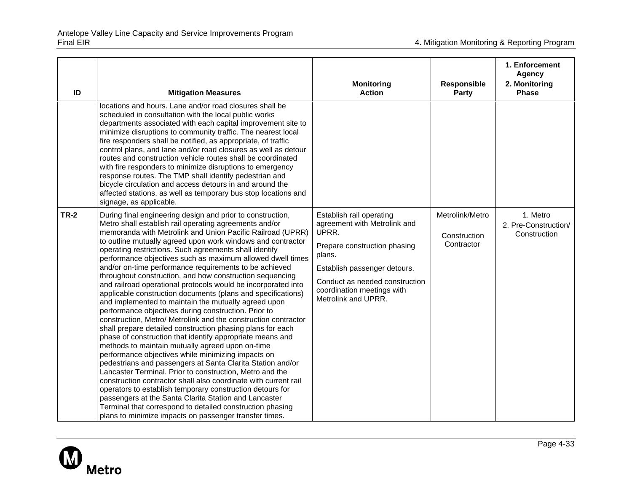| ID          | <b>Mitigation Measures</b>                                                                                                                                                                                                                                                                                                                                                                                                                                                                                                                                                                                                                                                                                                                                                                                                                                                                                                                                                                                                                                                                                                                                                                                                                                                                                                                                                                                                                                                                        | <b>Monitoring</b><br><b>Action</b>                                                                                                                                                                                                 | <b>Responsible</b><br><b>Party</b>            | 1. Enforcement<br><b>Agency</b><br>2. Monitoring<br><b>Phase</b> |
|-------------|---------------------------------------------------------------------------------------------------------------------------------------------------------------------------------------------------------------------------------------------------------------------------------------------------------------------------------------------------------------------------------------------------------------------------------------------------------------------------------------------------------------------------------------------------------------------------------------------------------------------------------------------------------------------------------------------------------------------------------------------------------------------------------------------------------------------------------------------------------------------------------------------------------------------------------------------------------------------------------------------------------------------------------------------------------------------------------------------------------------------------------------------------------------------------------------------------------------------------------------------------------------------------------------------------------------------------------------------------------------------------------------------------------------------------------------------------------------------------------------------------|------------------------------------------------------------------------------------------------------------------------------------------------------------------------------------------------------------------------------------|-----------------------------------------------|------------------------------------------------------------------|
|             | locations and hours. Lane and/or road closures shall be<br>scheduled in consultation with the local public works<br>departments associated with each capital improvement site to<br>minimize disruptions to community traffic. The nearest local<br>fire responders shall be notified, as appropriate, of traffic<br>control plans, and lane and/or road closures as well as detour<br>routes and construction vehicle routes shall be coordinated<br>with fire responders to minimize disruptions to emergency<br>response routes. The TMP shall identify pedestrian and<br>bicycle circulation and access detours in and around the<br>affected stations, as well as temporary bus stop locations and<br>signage, as applicable.                                                                                                                                                                                                                                                                                                                                                                                                                                                                                                                                                                                                                                                                                                                                                                |                                                                                                                                                                                                                                    |                                               |                                                                  |
| <b>TR-2</b> | During final engineering design and prior to construction,<br>Metro shall establish rail operating agreements and/or<br>memoranda with Metrolink and Union Pacific Railroad (UPRR)<br>to outline mutually agreed upon work windows and contractor<br>operating restrictions. Such agreements shall identify<br>performance objectives such as maximum allowed dwell times<br>and/or on-time performance requirements to be achieved<br>throughout construction, and how construction sequencing<br>and railroad operational protocols would be incorporated into<br>applicable construction documents (plans and specifications)<br>and implemented to maintain the mutually agreed upon<br>performance objectives during construction. Prior to<br>construction, Metro/ Metrolink and the construction contractor<br>shall prepare detailed construction phasing plans for each<br>phase of construction that identify appropriate means and<br>methods to maintain mutually agreed upon on-time<br>performance objectives while minimizing impacts on<br>pedestrians and passengers at Santa Clarita Station and/or<br>Lancaster Terminal. Prior to construction, Metro and the<br>construction contractor shall also coordinate with current rail<br>operators to establish temporary construction detours for<br>passengers at the Santa Clarita Station and Lancaster<br>Terminal that correspond to detailed construction phasing<br>plans to minimize impacts on passenger transfer times. | Establish rail operating<br>agreement with Metrolink and<br>UPRR.<br>Prepare construction phasing<br>plans.<br>Establish passenger detours.<br>Conduct as needed construction<br>coordination meetings with<br>Metrolink and UPRR. | Metrolink/Metro<br>Construction<br>Contractor | 1. Metro<br>2. Pre-Construction/<br>Construction                 |

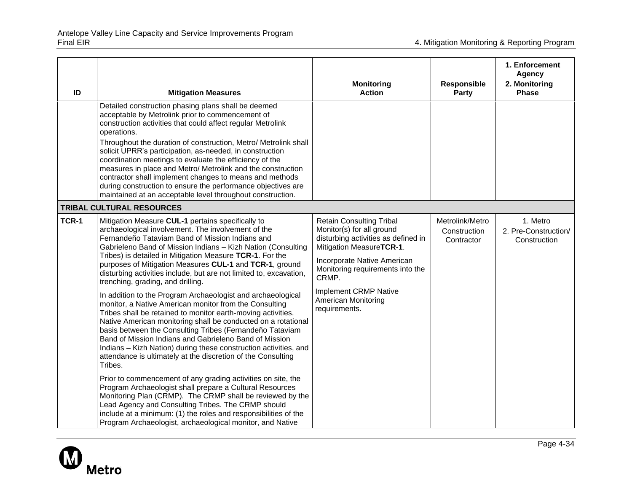| ID           | <b>Mitigation Measures</b>                                                                                                                                                                                                                                                                                                                                                                                                                                                                                                                                                                                                                                                                                                                                                                                                                                                                                                                                                                                                                                                                                                                                                                                                                                                                                                                                                 | <b>Monitoring</b><br><b>Action</b>                                                                                                                                                                                                                                                  | Responsible<br>Party                          | 1. Enforcement<br><b>Agency</b><br>2. Monitoring<br><b>Phase</b> |
|--------------|----------------------------------------------------------------------------------------------------------------------------------------------------------------------------------------------------------------------------------------------------------------------------------------------------------------------------------------------------------------------------------------------------------------------------------------------------------------------------------------------------------------------------------------------------------------------------------------------------------------------------------------------------------------------------------------------------------------------------------------------------------------------------------------------------------------------------------------------------------------------------------------------------------------------------------------------------------------------------------------------------------------------------------------------------------------------------------------------------------------------------------------------------------------------------------------------------------------------------------------------------------------------------------------------------------------------------------------------------------------------------|-------------------------------------------------------------------------------------------------------------------------------------------------------------------------------------------------------------------------------------------------------------------------------------|-----------------------------------------------|------------------------------------------------------------------|
|              | Detailed construction phasing plans shall be deemed<br>acceptable by Metrolink prior to commencement of<br>construction activities that could affect regular Metrolink<br>operations.<br>Throughout the duration of construction, Metro/ Metrolink shall<br>solicit UPRR's participation, as-needed, in construction<br>coordination meetings to evaluate the efficiency of the<br>measures in place and Metro/ Metrolink and the construction<br>contractor shall implement changes to means and methods<br>during construction to ensure the performance objectives are<br>maintained at an acceptable level throughout construction.                                                                                                                                                                                                                                                                                                                                                                                                                                                                                                                                                                                                                                                                                                                                    |                                                                                                                                                                                                                                                                                     |                                               |                                                                  |
|              | TRIBAL CULTURAL RESOURCES                                                                                                                                                                                                                                                                                                                                                                                                                                                                                                                                                                                                                                                                                                                                                                                                                                                                                                                                                                                                                                                                                                                                                                                                                                                                                                                                                  |                                                                                                                                                                                                                                                                                     |                                               |                                                                  |
| <b>TCR-1</b> | Mitigation Measure CUL-1 pertains specifically to<br>archaeological involvement. The involvement of the<br>Fernandeño Tataviam Band of Mission Indians and<br>Gabrieleno Band of Mission Indians - Kizh Nation (Consulting<br>Tribes) is detailed in Mitigation Measure TCR-1. For the<br>purposes of Mitigation Measures CUL-1 and TCR-1, ground<br>disturbing activities include, but are not limited to, excavation,<br>trenching, grading, and drilling.<br>In addition to the Program Archaeologist and archaeological<br>monitor, a Native American monitor from the Consulting<br>Tribes shall be retained to monitor earth-moving activities.<br>Native American monitoring shall be conducted on a rotational<br>basis between the Consulting Tribes (Fernandeño Tataviam<br>Band of Mission Indians and Gabrieleno Band of Mission<br>Indians - Kizh Nation) during these construction activities, and<br>attendance is ultimately at the discretion of the Consulting<br>Tribes.<br>Prior to commencement of any grading activities on site, the<br>Program Archaeologist shall prepare a Cultural Resources<br>Monitoring Plan (CRMP). The CRMP shall be reviewed by the<br>Lead Agency and Consulting Tribes. The CRMP should<br>include at a minimum: (1) the roles and responsibilities of the<br>Program Archaeologist, archaeological monitor, and Native | <b>Retain Consulting Tribal</b><br>Monitor(s) for all ground<br>disturbing activities as defined in<br>Mitigation MeasureTCR-1.<br>Incorporate Native American<br>Monitoring requirements into the<br>CRMP.<br>Implement CRMP Native<br><b>American Monitoring</b><br>requirements. | Metrolink/Metro<br>Construction<br>Contractor | 1. Metro<br>2. Pre-Construction/<br>Construction                 |

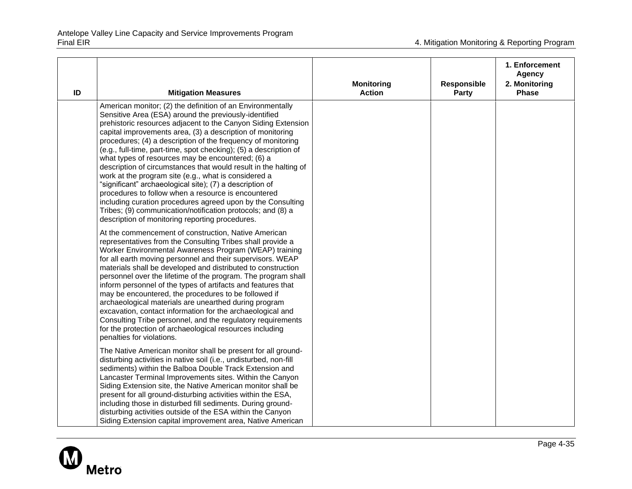| ID | <b>Mitigation Measures</b>                                                                                                                                                                                                                                                                                                                                                                                                                                                                                                                                                                                                                                                                                                                                                                                                                                                   | <b>Monitoring</b><br><b>Action</b> | Responsible<br><b>Party</b> | 1. Enforcement<br><b>Agency</b><br>2. Monitoring<br><b>Phase</b> |
|----|------------------------------------------------------------------------------------------------------------------------------------------------------------------------------------------------------------------------------------------------------------------------------------------------------------------------------------------------------------------------------------------------------------------------------------------------------------------------------------------------------------------------------------------------------------------------------------------------------------------------------------------------------------------------------------------------------------------------------------------------------------------------------------------------------------------------------------------------------------------------------|------------------------------------|-----------------------------|------------------------------------------------------------------|
|    | American monitor; (2) the definition of an Environmentally<br>Sensitive Area (ESA) around the previously-identified<br>prehistoric resources adjacent to the Canyon Siding Extension<br>capital improvements area, (3) a description of monitoring<br>procedures; (4) a description of the frequency of monitoring<br>(e.g., full-time, part-time, spot checking); (5) a description of<br>what types of resources may be encountered; (6) a<br>description of circumstances that would result in the halting of<br>work at the program site (e.g., what is considered a<br>"significant" archaeological site); (7) a description of<br>procedures to follow when a resource is encountered<br>including curation procedures agreed upon by the Consulting<br>Tribes; (9) communication/notification protocols; and (8) a<br>description of monitoring reporting procedures. |                                    |                             |                                                                  |
|    | At the commencement of construction, Native American<br>representatives from the Consulting Tribes shall provide a<br>Worker Environmental Awareness Program (WEAP) training<br>for all earth moving personnel and their supervisors. WEAP<br>materials shall be developed and distributed to construction<br>personnel over the lifetime of the program. The program shall<br>inform personnel of the types of artifacts and features that<br>may be encountered, the procedures to be followed if<br>archaeological materials are unearthed during program<br>excavation, contact information for the archaeological and<br>Consulting Tribe personnel, and the regulatory requirements<br>for the protection of archaeological resources including<br>penalties for violations.                                                                                           |                                    |                             |                                                                  |
|    | The Native American monitor shall be present for all ground-<br>disturbing activities in native soil (i.e., undisturbed, non-fill<br>sediments) within the Balboa Double Track Extension and<br>Lancaster Terminal Improvements sites. Within the Canyon<br>Siding Extension site, the Native American monitor shall be<br>present for all ground-disturbing activities within the ESA,<br>including those in disturbed fill sediments. During ground-<br>disturbing activities outside of the ESA within the Canyon<br>Siding Extension capital improvement area, Native American                                                                                                                                                                                                                                                                                           |                                    |                             |                                                                  |